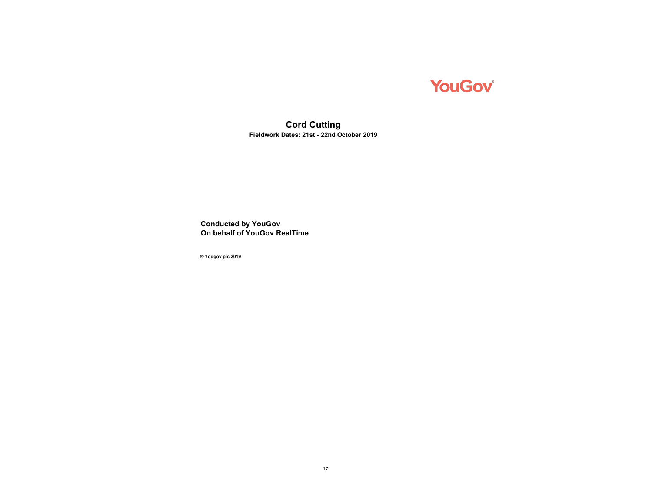

**Cord Cutting Fieldwork Dates: 21st - 22nd October 2019**

**Conducted by YouGov On behalf of YouGov RealTime**

**© Yougov plc 2019**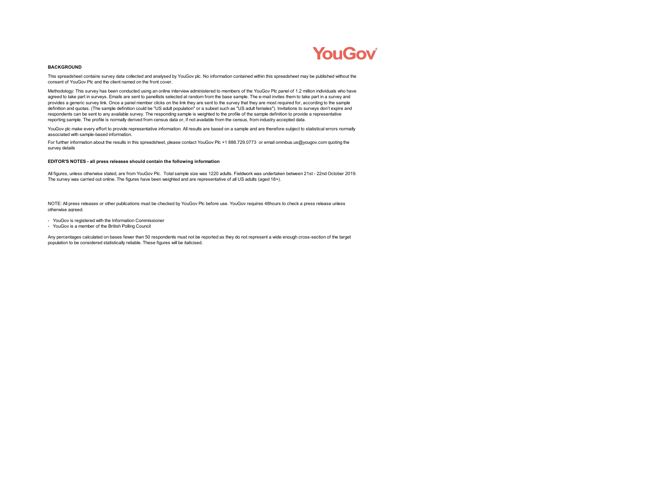# **YouGov**

#### **BACKGROUND**

This spreadsheet contains survey data collected and analysed by YouGov plc. No information contained within this spreadsheet may be published without the consent of YouGov Plc and the client named on the front cover.

Methodology: This survey has been conducted using an online interview administered to members of the YouGov Plc panel of 1.2 million individuals who have agreed to take part in surveys. Emails are sent to panellists selected at random from the base sample. The e-mail invites them to take part in a survey and provides a generic survey link. Once a panel member clicks on the link they are sent to the survey that they are most required for, according to the sample definition and quotas. (The sample definition could be "US adult population" or a subset such as "US adult females"). Invitations to surveys don't expire and respondents can be sent to any available survey. The responding sample is weighted to the profile of the sample definition to provide a representative reporting sample. The profile is normally derived from census data or, if not available from the census, from industry accepted data.

YouGov plc make every effort to provide representative information. All results are based on a sample and are therefore subject to statistical errors normally associated with sample-based information.

For further information about the results in this spreadsheet, please contact YouGov Plc +1 888.729.0773 or email omnibus.us@yougov.com quoting the survey details

#### **EDITOR'S NOTES - all press releases should contain the following information**

All figures, unless otherwise stated, are from YouGov Plc. Total sample size was 1220 adults. Fieldwork was undertaken between 21st - 22nd October 2019. The survey was carried out online. The figures have been weighted and are representative of all US adults (aged 18+).

NOTE: All press releases or other publications must be checked by YouGov Plc before use. YouGov requires 48hours to check a press release unless otherwise agreed.

- YouGov is registered with the Information Commissioner
- YouGov is a member of the British Polling Council

Any percentages calculated on bases fewer than 50 respondents must not be reported as they do not represent a wide enough cross-section of the target population to be considered statistically reliable. These figures will be italicised.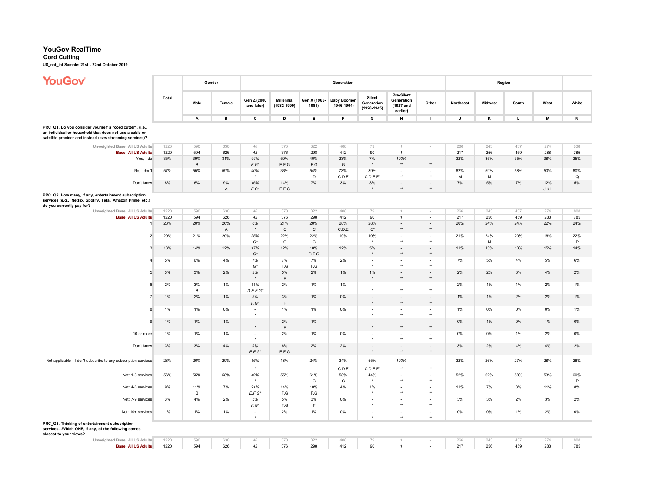### **YouGov RealTime**

### **Cord Cutting**

**US\_nat\_int Sample: 21st - 22nd October 2019**

r

## **YouGov**

| <b>YOUGOV</b>                                                                                                                                                                   |       |                       | Gender               |                           |                               |                       | Generation                            |                                         |                                                          |                                             |              | Region         |       |              |                    |
|---------------------------------------------------------------------------------------------------------------------------------------------------------------------------------|-------|-----------------------|----------------------|---------------------------|-------------------------------|-----------------------|---------------------------------------|-----------------------------------------|----------------------------------------------------------|---------------------------------------------|--------------|----------------|-------|--------------|--------------------|
|                                                                                                                                                                                 | Total | Male                  | Female               | Gen Z (2000<br>and later) | Millennial<br>$(1982 - 1999)$ | Gen X (1965-<br>1981) | <b>Baby Boomer</b><br>$(1946 - 1964)$ | Silent<br>Generation<br>$(1928 - 1945)$ | <b>Pre-Silent</b><br>Generation<br>(1927 and<br>earlier) | Other                                       | Northeast    | <b>Midwest</b> | South | West         | White              |
|                                                                                                                                                                                 |       | A                     | в                    | c                         | D                             | Е                     | F                                     | G                                       | н                                                        | $\mathbf{I}$                                | $\mathsf{J}$ | κ              | L.    | M            | $\,$ N             |
| PRC_Q1. Do you consider yourself a "cord cutter", (i.e.,<br>an individual or household that does not use a cable or<br>satellite provider and instead uses streaming services)? |       |                       |                      |                           |                               |                       |                                       |                                         |                                                          |                                             |              |                |       |              |                    |
| Unweighted Base: All US Adults                                                                                                                                                  | 1220  | 590                   | 630                  | 40                        | 370                           | 322                   | 408                                   | 79                                      |                                                          |                                             | 266          | 243            | 437   | 274          | 808                |
| <b>Base: All US Adults</b>                                                                                                                                                      | 1220  | 594                   | 626                  | 42                        | 376                           | 298                   | 412                                   | 90                                      | $\mathbf{1}$                                             | $\sim$                                      | 217          | 256            | 459   | 288          | 785                |
| Yes, I do                                                                                                                                                                       | 35%   | 39%<br>$\overline{B}$ | 31%                  | 44%<br>$F.G^*$            | 50%<br>E.F.G                  | 40%<br>F.G            | 23%<br>G                              | 7%                                      | 100%<br>$^{\star\star}$                                  | $\sim$<br>$^{\star\star}$                   | 32%          | 35%            | 35%   | 38%          | 35%                |
| No, I don't                                                                                                                                                                     | 57%   | 55%                   | 59%                  | 40%                       | 36%                           | 54%<br>D              | 73%<br>C.D.E                          | 89%<br>C.D.E.F'                         | $\overline{\phantom{a}}$<br>$^{\star\star}$              | $\sim$<br>$^{\star\star}$                   | 62%<br>M     | 59%<br>M       | 58%   | 50%          | 60%<br>$\mathsf Q$ |
| Don't know                                                                                                                                                                      | $8\%$ | 6%                    | 9%<br>$\overline{A}$ | 16%<br>$F.G^*$            | 14%<br>E.F.G                  | 7%                    | 3%                                    | $3%$<br>$^\star$                        | $\overline{\phantom{a}}$<br>$^{\star\star}$              | $\overline{\phantom{a}}$<br>$^{\star\star}$ | 7%           | $5\%$          | 7%    | 12%<br>J.K.L | 5%                 |
| PRC_Q2. How many, if any, entertainment subscription<br>services (e.g., Netflix, Spotify, Tidal, Amazon Prime, etc.)<br>do you currently pay for?                               |       |                       |                      |                           |                               |                       |                                       |                                         |                                                          |                                             |              |                |       |              |                    |
| Unweighted Base: All US Adults                                                                                                                                                  | 1220  | 590                   | 630                  | 40                        | 370                           | 322                   | 408                                   | 79                                      |                                                          |                                             | 266          | 243            | 437   | 274          | 808                |
| <b>Base: All US Adults</b>                                                                                                                                                      | 1220  | 594                   | 626                  | 42                        | 376                           | 298                   | 412                                   | 90                                      | $\mathbf{1}$                                             | $\sim$                                      | 217          | 256            | 459   | 288          | 785                |
|                                                                                                                                                                                 | 23%   | 20%                   | 26%<br>A             | 6%<br>$\star$             | 21%<br>$\mathsf{C}$           | 20%<br>$\mathsf{C}$   | 28%<br>C.D.E                          | 28%<br>$\mathsf{C}^\star$               | $\overline{\phantom{a}}$<br>$\star\star$                 | $\sim$<br>$\star\star$                      | 20%          | 24%            | 24%   | 22%          | 24%                |
| $\overline{2}$                                                                                                                                                                  | 20%   | 21%                   | 20%                  | 25%<br>$G^*$              | 22%<br>G                      | 22%<br>G              | 19%                                   | 10%<br>$\star$                          | $\overline{\phantom{a}}$<br>$\star\star$                 | $\overline{\phantom{a}}$<br>$\star\star$    | 21%          | 24%<br>M       | 20%   | 16%          | 22%<br>P           |
| 3                                                                                                                                                                               | 13%   | 14%                   | 12%                  | 17%<br>$G^{\star}$        | 12%                           | 18%<br>D.F.G          | 12%                                   | 5%<br>$\star$                           | $\overline{\phantom{a}}$<br>$\star\star$                 | $\overline{\phantom{a}}$<br>$^{\star\star}$ | 11%          | 13%            | 13%   | 15%          | 14%                |
| 4                                                                                                                                                                               | 5%    | 6%                    | 4%                   | 7%<br>$G^{\star}$         | 7%<br>F.G                     | 7%<br>F.G             | 2%                                    | ×.<br>$^\star$                          | $\overline{\phantom{a}}$<br>$^{\star\star}$              | $\sim$<br>$^{\star\star}$                   | 7%           | 5%             | 4%    | 5%           | 6%                 |
| 5                                                                                                                                                                               | 3%    | 3%                    | 2%                   | 3%                        | 5%<br>F                       | 2%                    | 1%                                    | 1%<br>$\star$                           | $\overline{\phantom{a}}$<br>$^{\star\star}$              | $^{\star\star}$                             | 2%           | 2%             | 3%    | 4%           | 2%                 |
| 6                                                                                                                                                                               | 2%    | 3%<br>$\overline{B}$  | 1%                   | 11%<br>D.E.F.G'           | 2%                            | 1%                    | 1%                                    | $\overline{\phantom{a}}$                | $\overline{\phantom{a}}$<br>$\star\star$                 | $\sim$<br>$^{\star\star}$                   | 2%           | 1%             | 1%    | 2%           | 1%                 |
| $\overline{7}$                                                                                                                                                                  | 1%    | 2%                    | $1\%$                | $5\%$<br>$F.G^*$          | 3%<br>$\mathsf F$             | 1%                    | 0%                                    | $\sim$<br>$^\star$                      | $\omega$<br>$^{\star\star}$                              | $\sim$<br>$^{\star\star}$                   | $1\%$        | 1%             | 2%    | 2%           | 1%                 |
| 8                                                                                                                                                                               | 1%    | 1%                    | 0%                   |                           | 1%                            | 1%                    | 0%                                    | $\overline{\phantom{a}}$                | $\sim$<br>$^{\star\star}$                                | $\sim$<br>$^{\star\star}$                   | 1%           | 0%             | 0%    | 0%           | 1%                 |
| 9                                                                                                                                                                               | 1%    | 1%                    | $1\%$                | $\star$                   | 2%<br>E                       | 1%                    | $\sim$                                | $\overline{\phantom{a}}$<br>$\star$     | $\blacksquare$<br>$^{\star\star}$                        | $\overline{\phantom{a}}$<br>$^{\star\star}$ | 0%           | 1%             | 0%    | 1%           | 0%                 |
| 10 or more                                                                                                                                                                      | 1%    | 1%                    | 1%                   | $\sim$                    | 2%                            | 1%                    | 0%                                    | $\sim$                                  | $\sim$<br>$\star\star$                                   | $\sim$<br>$\star\star$                      | 0%           | 0%             | 1%    | 2%           | 0%                 |
| Don't know                                                                                                                                                                      | 3%    | 3%                    | 4%                   | 9%<br>$E.F.G^*$           | 6%<br>E.F.G                   | 2%                    | 2%                                    | $\sim$<br>$^\star$                      | $\blacksquare$<br>$^{\star\star}$                        | $\blacksquare$<br>$^{\star\star}$           | 3%           | 2%             | 4%    | 4%           | 2%                 |
| Not applicable - I don't subscribe to any subscription services                                                                                                                 | 28%   | 26%                   | 29%                  | 16%                       | 18%                           | 24%                   | 34%<br>C.D.E                          | 55%<br>C.D.E.F                          | 100%<br>$\star\star$                                     | $\star\star$                                | 32%          | 26%            | 27%   | 28%          | 28%                |
| Net: 1-3 services                                                                                                                                                               | 56%   | 55%                   | 58%                  | 49%                       | 55%                           | 61%<br>G              | 58%<br>G                              | 44%<br>$\ddot{\phantom{1}}$             | $\sim$<br>$^{\star\star}$                                | $\overline{\phantom{a}}$<br>$^{\star\star}$ | 52%          | 62%<br>J       | 58%   | 53%          | 60%<br>P           |
| Net: 4-6 services                                                                                                                                                               | 9%    | 11%<br>$\,$ B         | 7%                   | 21%<br>$E.F.G*$           | 14%<br>F.G                    | 10%<br>F.G            | 4%                                    | 1%                                      | $\sim$<br>$\star\star$                                   | $\overline{\phantom{a}}$<br>$^{\star\star}$ | 11%          | 7%             | 8%    | 11%          | 8%                 |
| Net: 7-9 services                                                                                                                                                               | 3%    | 4%                    | 2%                   | 5%<br>F.G'                | 5%<br>F.G                     | 3%<br>F               | 0%                                    | $\star$                                 | $\star\star$                                             | $\overline{\phantom{a}}$<br>$\star\star$    | 3%           | 3%             | 2%    | 3%           | 2%                 |
| Net: 10+ services                                                                                                                                                               | 1%    | 1%                    | 1%                   | $\sim$<br>$\star$         | 2%                            | 1%                    | 0%                                    | $\sim$<br>$\star$                       | $\sim$<br>$\star\star$                                   | $\sim$<br>$\star\star$                      | 0%           | 0%             | 1%    | 2%           | 0%                 |
| PRC_Q3. Thinking of entertainment subscription<br>servicesWhich ONE, if any, of the following comes<br>closest to your views?                                                   |       |                       |                      |                           |                               |                       |                                       |                                         |                                                          |                                             |              |                |       |              |                    |
| Unweighted Base: All US Adults                                                                                                                                                  | 1220  | 590                   | 630                  | 40                        | 370                           | 322                   | 408                                   | 79                                      |                                                          |                                             | 266          | 243            | 437   | 274          | 808                |
| <b>Base: All US Adults</b>                                                                                                                                                      | 1220  | 594                   | 626                  | 42                        | 376                           | 298                   | 412                                   | 90                                      | $\mathbf{1}$                                             | $\sim$                                      | 217          | 256            | 459   | 288          | 785                |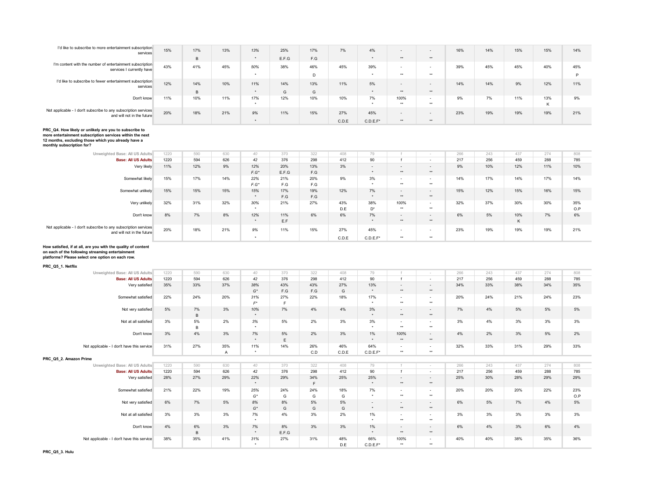| I'd like to subscribe to more entertainment subscription<br>services                          | 15% | 17% | 13% | 13% | 25%   | 17% | 7%    | 4%          | $\overline{\phantom{a}}$ | $\overline{\phantom{a}}$ | 16% | 14% | 15% | 15% | 14% |
|-----------------------------------------------------------------------------------------------|-----|-----|-----|-----|-------|-----|-------|-------------|--------------------------|--------------------------|-----|-----|-----|-----|-----|
|                                                                                               |     | B   |     |     | E.F.G | F.G |       |             | **                       | **                       |     |     |     |     |     |
| I'm content with the number of entertainment subscription<br>services I currently have        | 43% | 41% | 45% | 50% | 38%   | 46% | 45%   | 39%         | $\overline{\phantom{a}}$ | $\overline{\phantom{a}}$ | 39% | 45% | 45% | 40% | 45% |
|                                                                                               |     |     |     |     |       | D   |       |             | $+ +$                    | $***$                    |     |     |     |     |     |
| I'd like to subscribe to fewer entertainment subscription<br>services                         | 12% | 14% | 10% | 11% | 14%   | 13% | 11%   | 5%          | $\overline{\phantom{a}}$ | $\overline{\phantom{a}}$ | 14% | 14% | 9%  | 12% | 11% |
|                                                                                               |     | B   |     |     | G     | G   |       |             | **                       | **                       |     |     |     |     |     |
| Don't know                                                                                    | 11% | 10% | 11% | 17% | 12%   | 10% | 10%   | 7%          | 100%                     | $\overline{\phantom{a}}$ | 9%  | 7%  | 11% | 13% | 9%  |
|                                                                                               |     |     |     |     |       |     |       |             | $+ +$                    | $***$                    |     |     |     | K   |     |
| Not applicable - I don't subscribe to any subscription services<br>and will not in the future | 20% | 18% | 21% | 9%  | 11%   | 15% | 27%   | 45%         | $\overline{\phantom{a}}$ | $\overline{\phantom{a}}$ | 23% | 19% | 19% | 19% | 21% |
|                                                                                               |     |     |     |     |       |     | C.D.E | $C.D.E.F^*$ | $***$                    | **                       |     |     |     |     |     |

**PRC\_Q4. How likely or unlikely are you to subscribe to more entertainment subscription services within the next** 

**12 months, excluding those which you already have a monthly subscription for?**

| Unweighted Base: All US Adults                                                                | 1220 | 590 | 630 | 40        | 370   | 322 | 408   | 79          |                          | $\sim$                   | 266 | 243 | 437 | 274 | 808 |
|-----------------------------------------------------------------------------------------------|------|-----|-----|-----------|-------|-----|-------|-------------|--------------------------|--------------------------|-----|-----|-----|-----|-----|
| <b>Base: All US Adults</b>                                                                    | 1220 | 594 | 626 | 42        | 376   | 298 | 412   | 90          |                          | $\sim$                   | 217 | 256 | 459 | 288 | 785 |
| Very likely                                                                                   | 11%  | 12% | 9%  | 12%       | 20%   | 13% | 3%    | $\sim$      | $\overline{\phantom{a}}$ | $\sim$                   | 9%  | 10% | 12% | 11% | 10% |
|                                                                                               |      |     |     | $F.G^*$   | E.F.G | F.G |       |             | $***$                    | **                       |     |     |     |     |     |
| Somewhat likely                                                                               | 15%  | 17% | 14% | 22%       | 21%   | 20% | 9%    | 3%          | $\overline{\phantom{a}}$ | $\overline{\phantom{a}}$ | 14% | 17% | 14% | 17% | 14% |
|                                                                                               |      |     |     | $F.G^*$   | F.G   | F.G |       |             | $***$                    | $***$                    |     |     |     |     |     |
| Somewhat unlikely                                                                             | 15%  | 15% | 15% | 15%       | 17%   | 19% | 12%   | 7%          | $\overline{\phantom{a}}$ | $\overline{\phantom{0}}$ | 15% | 12% | 15% | 16% | 15% |
|                                                                                               |      |     |     | $\star$   | F.G   | F.G |       | $\ddot{}$   | $***$                    | $**$                     |     |     |     |     |     |
| Very unlikely                                                                                 | 32%  | 31% | 32% | 30%       | 21%   | 27% | 43%   | 38%         | 100%                     | $\overline{\phantom{a}}$ | 32% | 37% | 30% | 30% | 35% |
|                                                                                               |      |     |     | $\bullet$ |       |     | D.E   | $D^*$       | $***$                    | $***$                    |     |     |     |     | O.P |
| Don't know                                                                                    | 8%   | 7%  | 8%  | 12%       | 11%   | 6%  | 6%    | 7%          | $\overline{\phantom{a}}$ | $\overline{\phantom{a}}$ | 6%  | 5%  | 10% | 7%  | 6%  |
|                                                                                               |      |     |     | $\star$   | E.F   |     |       | $\star$     | $***$                    | **                       |     |     | К   |     |     |
| Not applicable - I don't subscribe to any subscription services<br>and will not in the future | 20%  | 18% | 21% | 9%        | 11%   | 15% | 27%   | 45%         | $\overline{\phantom{a}}$ | $\overline{\phantom{a}}$ | 23% | 19% | 19% | 19% | 21% |
|                                                                                               |      |     |     | $\star$   |       |     | C.D.E | $C.D.E.F^*$ | $***$                    | $***$                    |     |     |     |     |     |

# **How satisfied, if at all, are you with the quality of content on each of the following streaming entertainment platforms? Please select one option on each row.**

**PRC\_Q5\_1. Netflix**

| Unweighted Base: All US Adults             | 1220 | 590     | 630                 | 40                         | 370         | 322        | 408          | 79                                  |                                          |                                          | 266 | 243 | 437 | 274 | 808        |
|--------------------------------------------|------|---------|---------------------|----------------------------|-------------|------------|--------------|-------------------------------------|------------------------------------------|------------------------------------------|-----|-----|-----|-----|------------|
| <b>Base: All US Adults</b>                 | 1220 | 594     | 626                 | 42                         | 376         | 298        | 412          | 90                                  | $\overline{1}$                           | $\sim$                                   | 217 | 256 | 459 | 288 | 785        |
| Very satisfied                             | 35%  | 33%     | 37%                 | 38%<br>$G^*$               | 43%<br>F.G  | 43%<br>F.G | 27%<br>G     | 13%<br>$\star$                      | $\overline{\phantom{a}}$<br>$**$         | $\overline{\phantom{a}}$<br>$\star\star$ | 34% | 33% | 38% | 34% | 35%        |
| Somewhat satisfied                         | 22%  | 24%     | 20%                 | 31%<br>$F^{\star}$         | 27%<br>F    | 22%        | 18%          | 17%<br>٠                            | $\overline{\phantom{a}}$<br>$\star\star$ | $\sim$<br>$+ +$                          | 20% | 24% | 21% | 24% | 23%        |
| Not very satisfied                         | 5%   | 7%<br>B | 3%                  | 10%<br>$\star$             | 7%          | 4%         | 4%           | 3%<br>$\ddot{}$                     | $\overline{a}$<br>$**$                   | $\sim$<br>$\star\star$                   | 7%  | 4%  | 5%  | 5%  | 5%         |
| Not at all satisfied                       | 3%   | 5%<br>B | 2%                  | 3%<br>$\ddot{\phantom{1}}$ | 5%          | 2%         | 3%           | 3%<br>$\ddot{}$                     | $\overline{a}$<br>$\star\star$           | $\overline{\phantom{a}}$<br>$**$         | 3%  | 4%  | 3%  | 3%  | 3%         |
| Don't know                                 | 3%   | 4%      | 3%                  | 7%<br>$\star$              | 5%<br>E     | 2%         | 3%           | 1%<br>$\ddot{\phantom{1}}$          | 100%<br>$\star\star$                     | $\overline{a}$<br>$\star\star$           | 4%  | 2%  | 3%  | 5%  | 2%         |
| Not applicable - I don't have this service | 31%  | 27%     | 35%<br>$\mathsf{A}$ | 11%                        | 14%         | 26%<br>C.D | 46%<br>C.D.E | 64%<br>$C.D.E.F^*$                  | $\overline{\phantom{a}}$<br>$\star\star$ | $\overline{\phantom{a}}$<br>$**$         | 32% | 33% | 31% | 29% | 33%        |
| PRC Q5 2. Amazon Prime                     |      |         |                     |                            |             |            |              |                                     |                                          |                                          |     |     |     |     |            |
| Unweighted Base: All US Adults             | 1220 | 590     | 630                 | 40                         | 370         | 322        | 408          | 79                                  |                                          |                                          | 266 | 243 | 437 | 274 | 808        |
| <b>Base: All US Adults</b>                 | 1220 | 594     | 626                 | 42                         | 376         | 298        | 412          | 90                                  | $\overline{4}$                           | $\overline{a}$                           | 217 | 256 | 459 | 288 | 785        |
| Very satisfied                             | 28%  | 27%     | 29%                 | 22%<br>$\star$             | 29%         | 34%<br>F.  | 25%          | 25%<br>$\star$                      | $\overline{\phantom{a}}$<br>$**$         | $\overline{\phantom{a}}$<br>$\star\star$ | 25% | 30% | 28% | 29% | 29%        |
| Somewhat satisfied                         | 21%  | 22%     | 19%                 | 25%<br>$G^*$               | 24%<br>G    | 24%<br>G   | 18%<br>G     | 7%                                  | $\sim$<br>$\star\star$                   | $\sim$<br>$\star\star$                   | 20% | 20% | 20% | 22% | 23%<br>O.P |
| Not very satisfied                         | 6%   | 7%      | 5%                  | 8%<br>$G^*$                | 8%<br>G     | 5%<br>G    | 5%<br>G      | $\overline{\phantom{a}}$<br>$\star$ | $\overline{\phantom{0}}$<br>$***$        | $\overline{\phantom{0}}$<br>$\star\star$ | 6%  | 5%  | 7%  | 4%  | 5%         |
| Not at all satisfied                       | 3%   | 3%      | 3%                  | 7%                         | 4%          | 3%         | 2%           | 1%                                  | $\overline{\phantom{a}}$<br>$\star\star$ | $\overline{\phantom{a}}$<br>$**$         | 3%  | 3%  | 3%  | 3%  | 3%         |
| Don't know                                 | 4%   | 6%<br>B | 3%                  | 7%<br>$\star$              | 8%<br>E.F.G | 3%         | 3%           | 1%<br>$\ddot{}$                     | $\overline{\phantom{0}}$<br>$\star\star$ | $\overline{\phantom{0}}$<br>$\star\star$ | 6%  | 4%  | 3%  | 6%  | 4%         |
| Not applicable - I don't have this service | 38%  | 35%     | 41%                 | 31%                        | 27%         | 31%        | 48%<br>D.E   | 66%<br>$C.D.E.F^*$                  | 100%<br>$\star\star$                     | $\overline{\phantom{a}}$<br>**           | 40% | 40% | 38% | 35% | 36%        |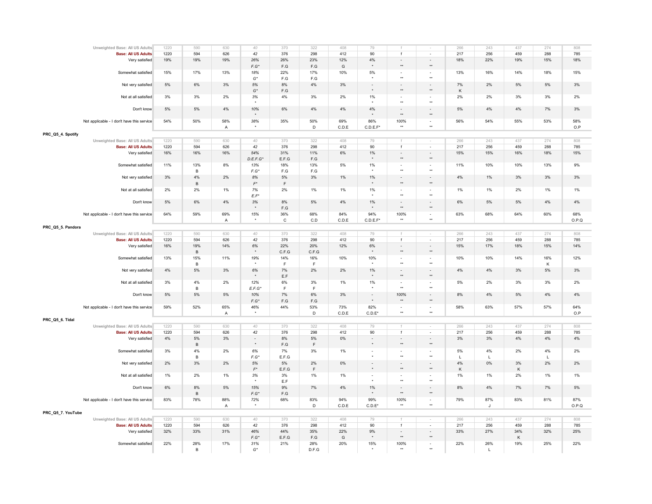| Unweighted Base: All US Adults             | 1220        | 590            | 630            | 40                   | 370                     | 322                     | 408   | 79                   |                           |                                          | 266        | 243          | 437        | 274          | 808        |
|--------------------------------------------|-------------|----------------|----------------|----------------------|-------------------------|-------------------------|-------|----------------------|---------------------------|------------------------------------------|------------|--------------|------------|--------------|------------|
| <b>Base: All US Adults</b>                 | 1220        | 594            | 626            | 42                   | 376                     | 298                     | 412   | 90                   | $\mathbf{1}$              | $\sim$                                   | 217        | 256          | 459        | 288          | 785        |
| Very satisfied                             | 19%         | 19%            | 19%            | 26%                  | 26%                     | 23%                     | 12%   | $4\%$                | $\overline{\phantom{a}}$  | $\overline{\phantom{a}}$                 | 18%        | 22%          | 19%        | 15%          | 18%        |
|                                            |             |                |                | $F.G^*$              | F.G                     | F.G                     | G     | $\star$              | $\star\star$              | $^{\star\star}$                          |            |              |            |              |            |
| Somewhat satisfied                         | 15%         | 17%            | 13%            | 18%                  | 22%                     | 17%                     | 10%   | 5%                   | $\sim$<br>$\star\star$    | $\blacksquare$<br>$\star\star$           | 13%        | 16%          | 14%        | 18%          | 15%        |
|                                            |             |                |                | $G^\star$            | F.G                     | F.G                     |       | $\star$              |                           |                                          |            |              |            |              |            |
| Not very satisfied                         | 5%          | 6%             | 3%             | 5%                   | 8%                      | 4%                      | 3%    | $\sim$<br>$\star$    | $\sim$<br>$\star\star$    | $\blacksquare$                           | 7%         | 2%           | 5%         | 5%           | 3%         |
|                                            |             |                |                | $G^\star$            | $\mathsf{F}.\mathsf{G}$ |                         |       |                      |                           | $\star\star$                             | Κ          |              |            |              |            |
| Not at all satisfied                       | 3%          | 3%             | 2%             | $3\%$                | $4\%$                   | 3%                      | 2%    | $1\%$                | $\sim$<br>$\star\star$    | $\overline{\phantom{a}}$<br>$\star\star$ | $2\%$      | 2%           | 3%         | 3%           | 2%         |
|                                            |             |                |                |                      |                         |                         |       |                      |                           |                                          |            |              |            |              |            |
| Don't know                                 | 5%          | 5%             | 4%             | 10%                  | 6%                      | 4%                      | 4%    | $4\%$                | $\sim$<br>$\star\star$    | $\sim$<br>$^{\star\star}$                | 5%         | 4%           | $4\%$      | 7%           | 3%         |
|                                            |             |                |                |                      |                         |                         |       |                      |                           |                                          |            |              |            |              |            |
| Not applicable - I don't have this service | 54%         | 50%            | 58%            | 38%                  | 35%                     | 50%<br>D                | 69%   | 86%                  | 100%<br>$\star\star$      | $\sim$<br>$\star\star$                   | 56%        | 54%          | 55%        | 53%          | 58%        |
|                                            |             |                | $\overline{A}$ |                      |                         |                         | C.D.E | C.D.E.F'             |                           |                                          |            |              |            |              | O.P        |
| PRC_Q5_4. Spotify                          |             |                |                |                      |                         |                         |       |                      |                           |                                          |            |              |            |              |            |
| Unweighted Base: All US Adults             | 1220        | 590            | 630            | 40                   | 370                     | 322                     | 408   | 79                   |                           |                                          | 266        | 243          | 437        | 274          | 808        |
| <b>Base: All US Adults</b>                 | 1220        | 594            | 626            | 42                   | 376                     | 298                     | 412   | 90                   | $\mathbf{1}$              | $\sim$                                   | 217        | 256          | 459        | 288          | 785        |
| Very satisfied                             | 16%         | 16%            | 16%            | 54%                  | 31%                     | 11%                     | 6%    | 1%<br>$\star$        | $\sim$<br>$\star\star$    | $\sim$<br>$^{\star\star}$                | 15%        | 15%          | 16%        | 18%          | 15%        |
|                                            |             |                |                | D.E.F.G'             | E.F.G                   | $\mathsf{F}.\mathsf{G}$ |       |                      |                           |                                          |            |              |            |              |            |
| Somewhat satisfied                         | 11%         | 13%            | 8%             | 13%<br>$F.G^*$       | 18%<br>F.G              | 13%<br>F.G              | 5%    | $1\%$                | $\star\star$              | $\star\star$                             | 11%        | 10%          | 10%        | 13%          | 9%         |
|                                            |             | $\overline{B}$ |                |                      | 5%                      | 3%                      |       |                      |                           |                                          |            |              |            |              |            |
| Not very satisfied                         | 3%          | 4%             | 2%             | 8%<br>$F^*$          |                         |                         | 1%    | $1\%$<br>$\star$     | $\star\star$              | $\sim$<br>$\star\star$                   | 4%         | 1%           | 3%         | 3%           | 3%         |
|                                            |             | $\,$ B         |                |                      | F<br>2%                 |                         |       |                      |                           |                                          |            |              |            |              |            |
| Not at all satisfied                       | 2%          | 2%             | 1%             | $7\%$<br>$E.F^*$     |                         | 1%                      | 1%    | $1\%$                | $\sim$<br>$\star\star$    | $\sim$<br>$\star\star$                   | 1%         | 1%           | 2%         | 1%           | $1\%$      |
| Don't know                                 | 5%          | 6%             | 4%             | 3%                   | 8%                      | 5%                      | 4%    | 1%                   | $\sim$                    | $\sim$                                   | 6%         | 5%           | 5%         | 4%           | 4%         |
|                                            |             |                |                | $\star$              | $\mathsf{F}.\mathsf{G}$ |                         |       |                      | $\star\star$              | $\star\star$                             |            |              |            |              |            |
| Not applicable - I don't have this service | 64%         | 59%            | 69%            | 15%                  | 36%                     | 68%                     | 84%   | 94%                  | 100%                      | $\sim$                                   | 63%        | 68%          | 64%        | 60%          | 68%        |
|                                            |             |                | $\overline{A}$ | $\star$              | $\mathtt{C}$            | C.D                     | C.D.E | $C.D.E.F*$           | $\star\star$              | $\star\star$                             |            |              |            |              | O.P.Q      |
|                                            |             |                |                |                      |                         |                         |       |                      |                           |                                          |            |              |            |              |            |
| PRC_Q5_5. Pandora                          |             |                |                |                      |                         |                         |       |                      |                           |                                          |            |              |            |              |            |
| Unweighted Base: All US Adults             | 1220        | 590            | 630            | 40                   | 370                     | 322                     | 408   | 79                   | $\mathcal{I}$             | $\sim$                                   | 266        | 243          | 437        | 274          | 808        |
| <b>Base: All US Adults</b>                 | 1220<br>16% | 594<br>19%     | 626<br>14%     | 42                   | 376<br>22%              | 298<br>20%              | 412   | 90                   | $\mathbf{1}$              | ÷.                                       | 217<br>15% | 256<br>17%   | 459<br>18% | 288          | 785<br>14% |
| Very satisfied                             |             | $\,$ B         |                | 6%<br>$\star$        | C.F.G                   | C.F.G                   | 12%   | 6%<br>$\star$        | $\sim$<br>$^{\star\star}$ | $\sim$<br>$^{\star\star}$                |            |              |            | 15%          |            |
| Somewhat satisfied                         | 13%         | 15%            | 11%            | 19%                  | 14%                     | 16%                     | 10%   | 10%                  | $\sim$                    | $\sim$                                   | 10%        | 10%          | 14%        | 16%          | 12%        |
|                                            |             | $\,$ B         |                |                      | E                       | $\mathsf F$             |       |                      | $\star\star$              | $\star$                                  |            |              |            | К            |            |
| Not very satisfied                         | 4%          | $5\%$          | $3\%$          | $6\%$                | 7%                      | 2%                      | 2%    | $1\%$                | $\sim$                    | $\overline{\phantom{a}}$                 | $4\%$      | $4\%$        | $3\%$      | 5%           | $3\%$      |
|                                            |             |                |                | $\ddot{\phantom{0}}$ | E.F                     |                         |       | $\ddot{\phantom{1}}$ | $\star\star$              | $^{\star\star}$                          |            |              |            |              |            |
| Not at all satisfied                       | 3%          | 4%             | 2%             | 12%                  | 6%                      | 3%                      | 1%    | 1%                   | $\sim$                    | $\blacksquare$                           | 5%         | 2%           | 3%         | 3%           | 2%         |
|                                            |             | $\,$ B         |                | $E.F.G^*$            | F.                      | $\mathsf F$             |       | $\star$              | $\star\star$              | $\star\star$                             |            |              |            |              |            |
| Don't know                                 | 5%          | 5%             | 5%             | 10%                  | 7%                      | 6%                      | 3%    | $\sim$               | 100%                      | $\sim$                                   | 8%         | 4%           | 5%         | 4%           | 4%         |
|                                            |             |                |                | $F.G^*$              | F.G                     | F.G                     |       | $\star$              | $\star\star$              | $\star\star$                             |            |              |            |              |            |
| Not applicable - I don't have this service | 59%         | 52%            | 65%            | 46%                  | 44%                     | 53%                     | 73%   | 82%                  | $\sim$                    | $\sim$                                   | 58%        | 63%          | 57%        | 57%          | 64%        |
|                                            |             |                | $\mathsf A$    | $\star$              |                         | D                       | C.D.E | $C.D.E^*$            | $\star\star$              | $\star\star$                             |            |              |            |              | O.P        |
| PRC_Q5_6. Tidal                            |             |                |                |                      |                         |                         |       |                      |                           |                                          |            |              |            |              |            |
| Unweighted Base: All US Adults             | 1220        | 590            | 630            | 40                   | 370                     | 322                     | 408   | 79                   |                           |                                          | 266        | 243          | 437        | 274          | 808        |
| <b>Base: All US Adults</b>                 | 1220        | 594            | 626            | 42                   | 376                     | 298                     | 412   | 90                   | $\mathbf{1}$              | $\omega$                                 | 217        | 256          | 459        | 288          | 785        |
| Very satisfied                             | 4%          | 5%             | 3%             | ÷.                   | 8%                      | 5%                      | $0\%$ | $\sim$               | $\sim$                    | $\sim$                                   | 3%         | 3%           | 4%         | 4%           | 4%         |
|                                            |             | $\,$ B         |                | $\star$              | $\mathsf{F}.\mathsf{G}$ | $\mathsf F$             |       | $\star$              | $\star\star$              | $\star\star$                             |            |              |            |              |            |
| Somewhat satisfied                         | 3%          | 4%             | 2%             | 6%                   | 7%                      | 3%                      | 1%    | $\sim$               | $\sim$                    | $\sim$                                   | 5%         | 4%           | 2%         | 4%           | 2%         |
|                                            |             | в              |                | $F.G^*$              | E.F.G                   |                         |       |                      | $^{\star\star}$           | $\star\star$                             | L          | L.           |            | $\mathbf{L}$ |            |
| Not very satisfied                         | 2%          | 3%             | 2%             | 5%                   | 5%                      | 2%                      | $0\%$ | $\sim$               |                           |                                          | 4%         | 0%           | 3%         | 2%           | 2%         |
|                                            |             |                |                | $F^*$                | E.F.G                   | $\mathsf F$             |       | $\star$              | $\star\star$              | $^{\star\star}$                          | Κ          |              | Κ          |              |            |
| Not at all satisfied                       | 1%          | 2%             | 1%             | 3%                   | 3%                      | 1%                      | 1%    |                      |                           |                                          | 1%         | 1%           | 2%         | 1%           | 1%         |
|                                            |             |                |                |                      | E.F                     |                         |       |                      | $\star\star$              | $+$                                      |            |              |            |              |            |
| Don't know                                 | 6%          | $8\%$          | 5%             | 15%                  | 9%                      | 7%                      | 4%    | $1\%$                |                           | $\overline{a}$                           | 8%         | 4%           | 7%         | 7%           | 5%         |
|                                            |             | $\,$ B         |                | $F.G^*$              | $\mathsf{F}.\mathsf{G}$ |                         |       | $\star$              | $\star\star$              | $\star\star$                             |            |              |            |              |            |
| Not applicable - I don't have this service | 83%         | 78%            | 88%            | 72%                  | 68%                     | 83%                     | 94%   | 99%                  | 100%                      | $\bullet$                                | 79%        | 87%          | 83%        | 81%          | 87%        |
|                                            |             |                | $\overline{A}$ | $\star$              |                         | D                       | C.D.E | $C.D.E^*$            | $\star\star$              | $\star$                                  |            | J            |            |              | O.P.Q      |
| PRC_Q5_7. YouTube                          |             |                |                |                      |                         |                         |       |                      |                           |                                          |            |              |            |              |            |
| Unweighted Base: All US Adults             | 1220        | 590            | 630            | 40                   | 370                     | 322                     | 408   | 79                   | $\overline{1}$            |                                          | 266        | 243          | 437        | 274          | 808        |
| <b>Base: All US Adults</b>                 | 1220        | 594            | 626            | 42                   | 376                     | 298                     | 412   | 90                   | $\mathbf{1}$              |                                          | 217        | 256          | 459        | 288          | 785        |
| Very satisfied                             | 32%         | 33%            | 31%            | 46%                  | 44%                     | 35%                     | 22%   | 9%                   | $\sim$                    | $\overline{\phantom{a}}$                 | 33%        | 27%          | 34%        | 32%          | 25%        |
|                                            |             |                |                | $F.G^*$              | E.F.G                   | F.G                     | G     | $\star$              | $\star\star$              | $^{\star\star}$                          |            |              | К          |              |            |
| Somewhat satisfied                         | 22%         | 28%            | 17%            | 31%                  | 21%                     | 28%                     | 20%   | 15%                  | 100%                      | $\sim$                                   | 22%        | 26%          | 19%        | 25%          | 22%        |
|                                            |             | $\overline{B}$ |                | $G^*$                |                         | D.F.G                   |       |                      | $\star\star$              |                                          |            | $\mathbf{I}$ |            |              |            |
|                                            |             |                |                |                      |                         |                         |       |                      |                           |                                          |            |              |            |              |            |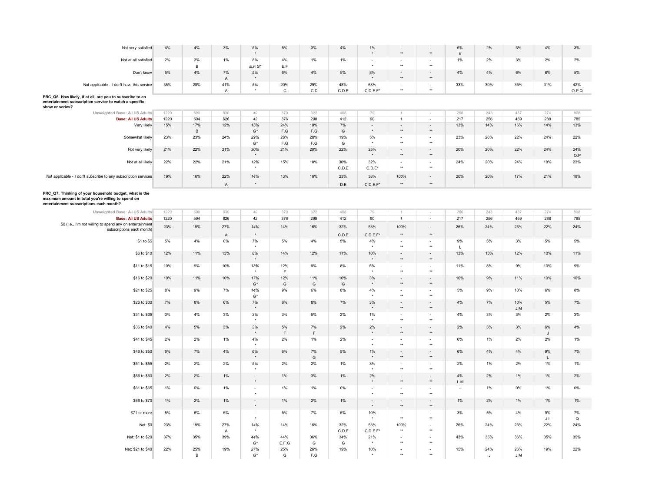| Not very satisfied                                                                                                                                      | $4\%$       | 4%            | 3%                  | $5\%$              | 5%                             | 3%                 | 4%           | 1%                         | $\star\star$                                     | $\star\star$                                | 6%<br>κ                         | $2\%$               | 3%         | 4%                      | 3%         |
|---------------------------------------------------------------------------------------------------------------------------------------------------------|-------------|---------------|---------------------|--------------------|--------------------------------|--------------------|--------------|----------------------------|--------------------------------------------------|---------------------------------------------|---------------------------------|---------------------|------------|-------------------------|------------|
| Not at all satisfied                                                                                                                                    | 2%          | 3%            | 1%                  | 8%                 | 4%                             | 1%                 | 1%           | $\Delta$                   | $\overline{\phantom{a}}$<br>$^{\star\star}$      | $\overline{\phantom{a}}$<br>$^{\star\star}$ | 1%                              | 2%                  | 3%         | 2%                      | 2%         |
| Don't know                                                                                                                                              | 5%          | в<br>4%       | 7%                  | $E.F.G^*$<br>5%    | E.F<br>6%                      | 4%                 | 5%           | 8%                         |                                                  | ÷,                                          | 4%                              | 4%                  | 6%         | 6%                      | 5%         |
| Not applicable - I don't have this service                                                                                                              | 35%         | 28%           | $\mathsf{A}$<br>41% | $\star$<br>5%      | 20%                            | 29%                | 48%          | 68%                        | $\star\star$<br>$\overline{\phantom{a}}$         | $\star\star$<br>$\frac{1}{2}$               | 33%                             | 39%                 | 35%        | 31%                     | 42%        |
| PRC_Q6. How likely, if at all, are you to subscribe to an                                                                                               |             |               | $\overline{A}$      | $\star$            | $\mathsf{C}$                   | C.D                | C.D.E        | C.D.E.F'                   | $\star\star$                                     | $\star\star$                                |                                 |                     |            |                         | O.P.Q      |
| entertainment subscription service to watch a specific<br>show or series?                                                                               |             |               |                     |                    |                                |                    |              |                            |                                                  |                                             |                                 |                     |            |                         |            |
| Unweighted Base: All US Adults                                                                                                                          | 1220        | 590           | 630                 | 40                 | 370                            | 322                | 408          | 79                         |                                                  |                                             | 266                             | 243                 | 437        | 274                     | 808        |
| <b>Base: All US Adults</b>                                                                                                                              | 1220        | 594           | 626                 | 42                 | 376                            | 298                | 412          | 90                         | $\mathbf{1}$                                     | $\sim$                                      | 217                             | 256                 | 459        | 288                     | 785        |
| Very likely                                                                                                                                             | 15%         | 17%<br>$\,$ B | 12%                 | 15%<br>$G^\star$   | 24%<br>$\mathsf{F}.\mathsf{G}$ | 18%<br>F.G         | 7%<br>G      | $\sim$<br>$\star$          | $\overline{\phantom{a}}$<br>$^{\star\star}$      | $\sim$<br>$^{\star\star}$                   | 13%                             | 14%                 | 16%        | 14%                     | 13%        |
| Somewhat likely                                                                                                                                         | 23%         | 23%           | 24%                 | 29%<br>$G^*$       | 28%<br>F.G                     | 28%<br>F.G         | 19%<br>G     | 5%                         | $\overline{\phantom{a}}$<br>$\star\star$         | $\overline{\phantom{a}}$<br>$\star\star$    | 23%                             | 26%                 | 22%        | 24%                     | 22%        |
| Not very likely                                                                                                                                         | 21%         | 22%           | 21%                 | 30%<br>$\star$     | 21%                            | 20%                | 22%          | 25%                        | ÷,<br>$\star\star$                               | ÷,<br>$^{\star\star}$                       | 20%                             | 20%                 | 22%        | 24%                     | 24%        |
| Not at all likely                                                                                                                                       | 22%         | 22%           | 21%                 | 12%                | 15%                            | 18%                | 30%          | 32%                        |                                                  | Ξ                                           | 24%                             | 20%                 | 24%        | 18%                     | O.P<br>23% |
| Not applicable - I don't subscribe to any subscription services                                                                                         | 19%         | 16%           | 22%                 | $\star$<br>14%     | 13%                            | 16%                | C.D.E<br>23% | $C.D.E^*$<br>38%           | $\star\star$<br>100%                             | $\star\star$<br>$\overline{a}$              | 20%                             | 20%                 | 17%        | 21%                     | 18%        |
|                                                                                                                                                         |             |               | $\overline{A}$      | $\star$            |                                |                    | D.E          | $C.D.E.F*$                 | $^{\star\star}$                                  | $^{\star\star}$                             |                                 |                     |            |                         |            |
| PRC_Q7. Thinking of your household budget, what is the<br>maximum amount in total you're willing to spend on<br>entertainment subscriptions each month? |             |               |                     |                    |                                |                    |              |                            |                                                  |                                             |                                 |                     |            |                         |            |
| Unweighted Base: All US Adults                                                                                                                          | 1220        | 590           | 630                 | 40                 | 370                            | 322                | 408          | 79                         |                                                  |                                             | 266                             | 243                 | 437        | 274                     | 808        |
|                                                                                                                                                         |             |               |                     |                    |                                |                    |              |                            |                                                  |                                             |                                 |                     |            |                         |            |
| <b>Base: All US Adults</b><br>\$0 (i.e., I'm not willing to spend any on entertainment<br>subscriptions each month)                                     | 1220<br>23% | 594<br>19%    | 626<br>27%          | 42<br>14%          | 376<br>14%                     | 298<br>16%         | 412<br>32%   | 90<br>53%                  | $\mathbf{1}$<br>100%                             | $\blacksquare$<br>$\blacksquare$            | 217<br>26%                      | 256<br>24%          | 459<br>23% | 288<br>22%              | 785<br>24% |
|                                                                                                                                                         |             |               | $\mathsf{A}$        | $^\star$           |                                |                    | C.D.E        | C.D.E.F'                   | $^{\star\star}$                                  | $^{\star\star}$                             |                                 |                     |            |                         |            |
| \$1 to \$5                                                                                                                                              | 5%          | 4%            | 6%                  | 7%                 | 5%                             | 4%                 | 5%           | 4%                         | $\blacksquare$<br>$^{\star\star}$                | $\blacksquare$<br>$^{\star\star}$           | 9%<br>$\mathbf{L}$              | 5%                  | 3%         | 5%                      | 5%         |
| \$6 to \$10                                                                                                                                             | 12%         | 11%           | 13%                 | 8%                 | 14%                            | 12%                | 11%          | 10%                        | $^{\star\star}$                                  | $^{\star\star}$                             | 13%                             | 13%                 | 12%        | 10%                     | 11%        |
| \$11 to \$15                                                                                                                                            | 10%         | 9%            | 10%                 | 13%<br>$\star$     | 12%<br>$\mathsf{F}$            | 9%                 | 8%           | 5%<br>$\ddot{\phantom{1}}$ | $\blacksquare$<br>$\star\star$                   | $\overline{\phantom{a}}$<br>$\star\star$    | 11%                             | 8%                  | 9%         | 10%                     | 9%         |
| \$16 to \$20                                                                                                                                            | 10%         | 11%           | 10%                 | 17%<br>$G^*$       | 12%<br>G                       | 11%<br>G           | 10%<br>G     | 3%<br>$\star$              | $\overline{\phantom{a}}$<br>$^{\star\star}$      | ÷,<br>$^{\star\star}$                       | 10%                             | 9%                  | 11%        | 10%                     | 10%        |
| \$21 to \$25                                                                                                                                            | 8%          | 9%            | 7%                  | 14%<br>$G^*$       | 9%                             | 6%                 | 8%           | 4%                         | $\overline{\phantom{a}}$<br>$^{\star\star}$      | $\centerdot$<br>$^{\star\star}$             | 5%                              | 9%                  | 10%        | 6%                      | 8%         |
| \$26 to \$30                                                                                                                                            | 7%          | $8\%$         | 6%                  | $7\%$              | 8%                             | 8%                 | 7%           | 3%                         | $\overline{\phantom{a}}$<br>$^{\star\star}$      | $\sim$<br>$^{\star\star}$                   | 4%                              | 7%                  | 10%<br>J.M | 5%                      | 7%         |
| \$31 to \$35                                                                                                                                            | 3%          | 4%            | 3%                  | 3%                 | 3%                             | 5%                 | 2%           | 1%                         | $\overline{\phantom{a}}$<br>$^{\star\star}$      | $\sim$<br>$\star\star$                      | 4%                              | 3%                  | 3%         | 2%                      | 3%         |
| \$36 to \$40                                                                                                                                            | 4%          | 5%            | 3%                  | 3%                 | 5%<br>$\mathsf F$              | 7%<br>$\mathsf{F}$ | 2%           | 2%                         | L.<br>$\star\star$                               | $\overline{a}$<br>$\star\star$              | 2%                              | $5\%$               | 3%         | 6%                      | 4%         |
| \$41 to \$45                                                                                                                                            | 2%          | 2%            | 1%                  | 4%                 | 2%                             | 1%                 | 2%           | $\overline{\phantom{a}}$   | $\overline{\phantom{a}}$<br>$\ddot{\phantom{1}}$ | $\frac{1}{2}$<br>$\star\star$               | 0%                              | 1%                  | 2%         | J<br>2%                 | 1%         |
| \$46 to \$50                                                                                                                                            | 6%          | 7%            | 4%                  | 6%                 | 6%                             | 7%                 | 5%           | 1%                         | $\overline{a}$                                   | ÷,                                          | 6%                              | 4%                  | 4%         | 9%                      | 7%         |
| \$51 to \$55                                                                                                                                            | 2%          | 2%            | 2%                  | $\star$<br>5%      | 2%                             | G<br>2%            | 1%           | $\star$<br>3%              | $^{\star\star}$                                  | $^{\star\star}$<br>$\frac{1}{2}$            | 2%                              | 1%                  | 2%         | L<br>1%                 | 1%         |
| \$56 to \$60                                                                                                                                            | 2%          | 2%            | $1\%$               | $\sim$             | 1%                             | 3%                 | 1%           | 2%                         | $\star\star$<br>$\sim$                           | $\star\star$<br>$\overline{\phantom{a}}$    | 4%                              | 2%                  | 1%         | 1%                      | 2%         |
| \$61 to \$65                                                                                                                                            | 1%          | 0%            | 1%                  | $\star$<br>$\sim$  | 1%                             | 1%                 | 0%           | $\sim$                     | $\star\star$<br>$\sim$                           | $^{\star\star}$<br>$\sim$                   | L.M<br>$\overline{\phantom{a}}$ | 1%                  | 0%         | 1%                      | 0%         |
| \$66 to \$70                                                                                                                                            | 1%          | 2%            | $1\%$               | $\sim$             | 1%                             | 2%                 | 1%           | $\sim$                     | $^{\star\star}$<br>$\blacksquare$                | $\star\star$<br>$\overline{a}$              | 1%                              | 2%                  | 1%         | 1%                      | 1%         |
| \$71 or more                                                                                                                                            | 5%          | 6%            | 5%                  | $\sim$             | 5%                             | 7%                 | 5%           | 10%                        | $^{\star\star}$<br>$\sim$                        | $^{\star\star}$<br>$\overline{\phantom{a}}$ | 3%                              | 5%                  | 4%         | 9%                      | 7%         |
|                                                                                                                                                         |             |               |                     |                    |                                |                    |              |                            | $\star\star$                                     | $\star\star$                                |                                 |                     |            | $\mathsf{J}.\mathsf{L}$ | Q          |
| Net: \$0                                                                                                                                                | 23%         | 19%           | 27%<br>A            | 14%                | 14%                            | 16%                | 32%<br>C.D.E | 53%<br>C.D.E.F'            | 100%<br>$\star\star$                             | $^{\star\star}$                             | 26%                             | 24%                 | 23%        | 22%                     | 24%        |
| Net: \$1 to \$20                                                                                                                                        | 37%         | 35%           | 39%                 | 44%<br>$G^*$       | 44%<br>E.F.G                   | 36%<br>G           | 34%<br>G     | 21%                        | $\star\star$                                     | $^{\star\star}$                             | 43%                             | 35%                 | 36%        | 35%                     | 35%        |
| Net: \$21 to \$40                                                                                                                                       | 22%         | 25%<br>B      | 19%                 | 27%<br>$G^{\star}$ | 25%<br>G                       | 26%<br>F.G         | 19%          | 10%                        | $\sim$<br>$\star\star$                           | $\sim$<br>$\star\star$                      | 15%                             | 24%<br>$\mathbf{J}$ | 26%<br>J.M | 19%                     | 22%        |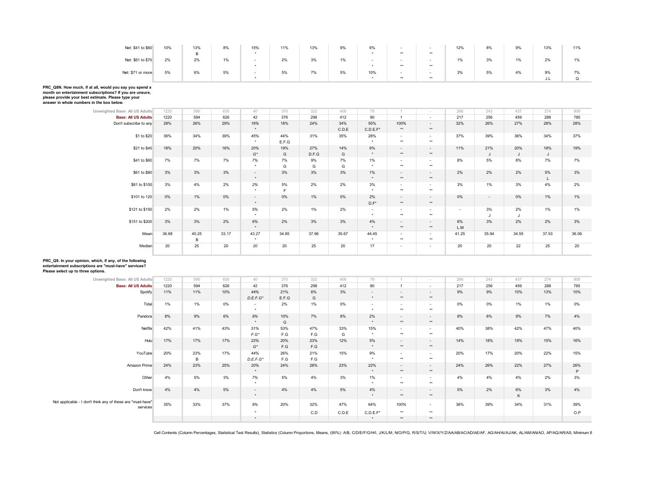| Net: \$41 to \$60 | 10% | 13% | 8% | 15% | 11% | 13% | 9% | 6%  |       | $\sim$                   | 12% | 8% | 9% | 13% | 11% |
|-------------------|-----|-----|----|-----|-----|-----|----|-----|-------|--------------------------|-----|----|----|-----|-----|
|                   |     | R.  |    |     |     |     |    |     | **    | **                       |     |    |    |     |     |
| Net: \$61 to \$70 | 2%  | 2%  | 1% | -   | 2%  | 3%  | 1% |     |       | $\overline{\phantom{a}}$ | 1%  | 3% | 1% | 2%  |     |
|                   |     |     |    |     |     |     |    |     | $***$ | **                       |     |    |    |     |     |
| Net: \$71 or more | 5%  | 6%  | 5% |     | 5%  | 7%  | 5% | 10% | -     | $\sim$                   | 3%  | 5% | 4% | 9%  | 7%  |
|                   |     |     |    |     |     |     |    |     | $***$ | **                       |     |    |    | J.L |     |

**PRC\_Q8N. How much, if at all, would you say you spend a month on entertainment subscriptions? If you are unsure, please provide your best estimate. Please type your** 

**answer in whole numbers in the box below.**

| Unweighted Base: All US Adults | 1220  | 590        | 630   | 40                | 370          | 322          | 408          | 79                            |                                   | $\sim$                           | 266       | 243      | 437      | 274      | 808   |
|--------------------------------|-------|------------|-------|-------------------|--------------|--------------|--------------|-------------------------------|-----------------------------------|----------------------------------|-----------|----------|----------|----------|-------|
| <b>Base: All US Adults</b>     | 1220  | 594        | 626   | 42                | 376          | 298          | 412          | 90                            |                                   | $\sim$                           | 217       | 256      | 459      | 288      | 785   |
| Don't subscribe to any         | 28%   | 26%        | 29%   | 16%<br>$\star$    | 18%          | 24%          | 34%<br>C.D.E | 55%<br>$C.D.E.F^*$            | 100%<br>$***$                     | $\sim$<br>$**$                   | 32%       | 26%      | 27%      | 28%      | 28%   |
| \$1 to \$20                    | 36%   | 34%        | 39%   | 45%<br>$\star$    | 44%<br>E.F.G | 31%          | 35%          | 28%<br>$\star$                | $\sim$<br>$***$                   | $\sim$<br>$**$                   | 37%       | 39%      | 36%      | 34%      | 37%   |
| \$21 to \$40                   | 18%   | 20%        | 16%   | 20%<br>$G^*$      | 19%<br>G     | 27%<br>D.F.G | 14%<br>G     | 6%                            | $\sim$<br>$***$                   | $\sim$<br>$**$                   | 11%       | 21%<br>J | 20%<br>J | 18%<br>J | 19%   |
| \$41 to \$60                   | 7%    | 7%         | 7%    | 7%<br>$\star$     | 7%<br>G      | 9%<br>G      | 7%<br>G      | 1%<br>$\cdot$                 | $\sim$<br>$***$                   | $\sim$<br>$**$                   | 8%        | 5%       | 8%       | 7%       | 7%    |
| \$61 to \$80                   | 3%    | 3%         | 3%    | $\sim$<br>$\star$ | 3%           | 3%           | 3%           | 1%<br>$\star$                 | $\sim$<br>$***$                   | $\sim$<br>$**$                   | 2%        | 2%       | 2%       | 5%<br>L  | 3%    |
| \$81 to \$100                  | 3%    | 4%         | 2%    | 2%<br>$\star$     | 5%<br>E      | 2%           | 2%           | 3%<br>$\ddot{\phantom{1}}$    | $\sim$<br>$***$                   | $\sim$<br>$**$                   | 3%        | $1\%$    | 3%       | 4%       | 2%    |
| \$101 to 120                   | 0%    | 1%         | 0%    | $\sim$<br>$\star$ | 0%           | 1%           | 0%           | 2%<br>$D.F^*$                 | $\sim$<br>$\star\star$            | $\sim$<br>$**$                   | 0%        | $\sim$   | 0%       | 1%       | 1%    |
| \$121 to \$150                 | 2%    | 2%         | 1%    | 5%<br>$\star$     | 2%           | 1%           | 2%           | $\sim$<br>$\star$             | $\overline{\phantom{a}}$<br>$***$ | $\overline{\phantom{a}}$<br>$**$ | ٠         | 3%       | 2%<br>J  | 1%       | 1%    |
| \$151 to \$200                 | 3%    | 3%         | 2%    | 6%<br>$\star$     | 2%           | 3%           | 3%           | 4%<br>$\ddot{\phantom{1}}$    | $\sim$<br>$***$                   | $\sim$<br>$**$                   | 6%<br>L.M | 3%       | 2%       | 2%       | 3%    |
| Mean                           | 36.68 | 40.25<br>B | 33.17 | 43.27<br>$\star$  | 34.85        | 37.96        | 35.67        | 44.45<br>$\ddot{\phantom{1}}$ | $\sim$<br>$***$                   | $\sim$<br>$**$                   | 41.25     | 35.94    | 34.55    | 37.53    | 36.06 |
| Median                         | 20    | 25         | 20    | 20                | 20           | 25           | 20           | 17                            | $\sim$                            | $\overline{\phantom{a}}$         | 20        | 20       | 22       | 25       | 20    |

## **PRC\_Q9. In your opinion, which, if any, of the following entertainment subscriptions are "must-have" services?**

**Please select up to three options.**

| Unweighted Base: All US Adults                                          | 1220 | 590      | 630   | 40                 | 370                            | 322        | 408      | 79                |                                  | $\sim$                            | 266   | 243 | 437     | 274 | 808      |
|-------------------------------------------------------------------------|------|----------|-------|--------------------|--------------------------------|------------|----------|-------------------|----------------------------------|-----------------------------------|-------|-----|---------|-----|----------|
| <b>Base: All US Adults</b>                                              | 1220 | 594      | 626   | 42                 | 376                            | 298        | 412      | 90                | $\mathbf{1}$                     | $\sim$                            | 217   | 256 | 459     | 288 | 785      |
| Spotify                                                                 | 11%  | 11%      | 10%   | 44%<br>$D.E.F.G^*$ | 21%<br>E.F.G                   | 6%<br>G    | 3%       | $\sim$<br>$\star$ | $\overline{\phantom{a}}$<br>$**$ | $\sim$<br>$**$                    | 9%    | 9%  | 10%     | 13% | 10%      |
| Tidal                                                                   | 1%   | 1%       | $0\%$ | $\sim$             | 2%                             | 1%         | $0\%$    | $\sim$<br>٠       | $\sim$<br>$**$                   | $\sim$<br>$**$                    | $0\%$ | 0%  | 1%      | 1%  | 0%       |
| Pandora                                                                 | 8%   | 9%       | 6%    | 9%<br>$\star$      | 10%<br>G                       | 7%         | 8%       | 2%<br>$\star$     | $\sim$<br>$**$                   | $\sim$<br>$***$                   | 8%    | 6%  | 9%      | 7%  | 4%       |
| Netflix                                                                 | 42%  | 41%      | 43%   | 51%<br>$F.G^*$     | 53%<br>$\mathsf{F}.\mathsf{G}$ | 47%<br>F.G | 33%<br>G | 15%<br>$\star$    | $\sim$<br>$**$                   | $\sim$<br>$**$                    | 40%   | 38% | 42%     | 47% | 40%      |
| Hulu                                                                    | 17%  | 17%      | 17%   | 22%<br>$G^*$       | 20%<br>F.G                     | 23%<br>F.G | 12%      | 5%<br>$\star$     | $\sim$<br>$**$                   | $\sim$<br>$\star\star$            | 14%   | 18% | 19%     | 15% | 16%      |
| YouTube                                                                 | 20%  | 23%<br>B | 17%   | 44%<br>$D.E.F.G^*$ | 26%<br>F.G                     | 21%<br>F.G | 15%      | 9%<br>$\star$     | $\sim$<br>$***$                  | $\sim$<br>$***$                   | 20%   | 17% | 20%     | 22% | 15%      |
| Amazon Prime                                                            | 24%  | 23%      | 25%   | 20%<br>$\star$     | 24%                            | 28%        | 23%      | 22%<br>$\star$    | $\sim$<br>$***$                  | $\sim$<br>$\star\star$            | 24%   | 26% | 22%     | 27% | 26%<br>P |
| Other                                                                   | 4%   | 5%       | 3%    | 7%<br>$\bullet$    | 5%                             | 4%         | 3%       | $1\%$<br>$\star$  | $\sim$<br>$**$                   | $\overline{\phantom{a}}$<br>$***$ | 4%    | 4%  | 4%      | 2%  | 3%       |
| Don't know                                                              | 4%   | 4%       | 5%    | $\sim$<br>$\star$  | 4%                             | 4%         | 5%       | 4%<br>$\star$     | $\sim$<br>$***$                  | $\sim$<br>$***$                   | 5%    | 2%  | 6%<br>Κ | 3%  | 4%       |
| Not applicable - I don't think any of these are "must-have"<br>services | 35%  | 33%      | 37%   | 9%                 | 20%                            | 32%        | 47%      | 64%               | 100%                             | $\sim$                            | 36%   | 39% | 34%     | 31% | 39%      |
|                                                                         |      |          |       | $\star$            |                                | C.D        | C.D.E    | $C.D.E.F^*$       | $\star\star$                     | $\star\star$                      |       |     |         |     | O.P      |
|                                                                         |      |          |       | $\star$            |                                |            |          | $\star$           | $**$                             | $\star\star$                      |       |     |         |     |          |
|                                                                         |      |          |       |                    |                                |            |          |                   |                                  |                                   |       |     |         |     |          |

Cell Contents (Column Percentages, Statistical Test Results), Statistics (Column Proportions, Means, (95%): A/B, C/D/E/F/G/H/I, J/K/L/M, NO/P/Q, R/S/T/U, V/W/X/Y/Z/AAAB/AC/AD/AE/AF, AG/AH/AI/AJ/AK, AL/AM/AN/AQ, AP/AQ/AR/AS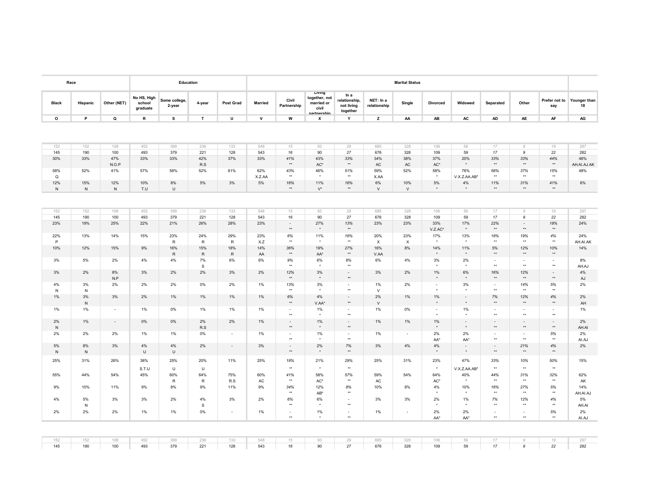|                    |                                                    |                               |                               |                                |                            | <b>Marital Status</b> |                                  |                                                 |                                                               |                                     |                 |                |                        | Education               |                                   |                  | Race             |                    |
|--------------------|----------------------------------------------------|-------------------------------|-------------------------------|--------------------------------|----------------------------|-----------------------|----------------------------------|-------------------------------------------------|---------------------------------------------------------------|-------------------------------------|-----------------|----------------|------------------------|-------------------------|-----------------------------------|------------------|------------------|--------------------|
| 18                 | Prefer not to Younger than<br>say                  | Other                         | Separated                     | Widowed                        | <b>Divorced</b>            | Single                | NET: In a<br>relationship        | In a<br>relationship,<br>not living<br>together | Living<br>together, not<br>married or<br>civil<br>nartnershin | Civil<br>Partnership                | <b>Married</b>  | Post Grad      | 4-year                 | Some college,<br>2-year | No HS, High<br>school<br>graduate | Other (NET)      | Hispanic         | <b>Black</b>       |
| AG                 | AF                                                 | AE                            | AD                            | $\mathsf{AC}$                  | AB                         | AA                    | z                                | Y                                               | x                                                             | w                                   | ${\mathsf v}$   | U              | $\mathbf{T}$           | s                       | ${\sf R}$                         | Q                | P                | $\circ$            |
|                    |                                                    |                               |                               |                                |                            |                       |                                  |                                                 |                                                               |                                     |                 |                |                        |                         |                                   |                  |                  |                    |
| 297                | 19                                                 | $\mathcal G$                  | 17                            | 56                             | 106                        | 328                   | 685                              | 29                                              | 93                                                            | 15                                  | 548             | 133            | 236                    | 399                     | 452                               | 108              | 152              | 152                |
| 282                | 22                                                 | 9                             | 17                            | 59                             | 109                        | 328                   | 676                              | 27                                              | 90                                                            | 16                                  | 543             | 128            | 221                    | 379                     | 493                               | 100              | 190              | 145                |
| 46%<br>AH.AI.AJ.AK | 44%<br>$^{\star\star}$                             | 33%<br>$^{\star\star}$        | 33%<br>$\star\star$           | 20%<br>$^\star$                | 37%<br>$AC^*$              | 38%<br>AC             | 34%<br>AC                        | 33%<br>$^{\star\star}$                          | 43%<br>$AC^*$                                                 | 41%<br>$^{\star\star}$              | 33%             | 37%            | 42%<br>R.S             | 33%                     | 33%                               | 47%<br>N.O.P     | 33%              | 30%                |
| 48%                | 15%<br>$+$                                         | 37%<br>$\star\star$           | 56%<br>$\star\star$           | 76%<br>V.X.Z.AA.AB*            | 58%<br>$\star$             | 52%                   | 59%<br>X.AA                      | 51%<br>$^{\star\star}$                          | 46%<br>$\star$                                                | 43%<br>$\star\star$                 | 62%<br>X.Z.AA   | 61%            | 52%                    | 58%                     | 57%                               | 41%              | 52%              | 58%<br>$\circ$     |
| 6%                 | 41%<br><b>ALC</b>                                  | 31%<br>$\star\star$           | 11%<br>$\star$                | 4%<br>$\ddot{\phantom{1}}$     | 5%<br>$\ddot{\phantom{1}}$ | 10%<br>$\vee$         | 6%<br>$\vee$                     | 16%<br>$\star\star$                             | 11%<br>$V^{\star}$                                            | 16%<br>$\star\star$                 | 5%              | 3%             | 5%                     | 8%<br>$\cup$            | 10%<br>T.U                        | 12%<br>${\sf N}$ | 15%<br>${\sf N}$ | 12%<br>${\sf N}$   |
|                    |                                                    |                               |                               |                                |                            |                       |                                  |                                                 |                                                               |                                     |                 |                |                        |                         |                                   |                  |                  |                    |
| 297                | 19                                                 | $\mathcal{G}$                 | 17                            | 56                             | 106                        | 328                   | 685                              | 29                                              | 93                                                            | 15                                  | 548             | 133            | 236                    | 399                     | 452                               | 108              | 152              | 152                |
| 282                | 22                                                 | 9                             | $17$                          | 59                             | 109                        | 328                   | 676                              | $27\,$                                          | 90                                                            | 16                                  | 543             | 128            | 221                    | 379                     | 493                               | 100              | 190              | 145                |
| 24%                | 18%<br>$\star\star$                                | $\sim$<br>$^{\star\star}$     | 22%<br>$\star\star$           | 17%<br>$^\star$                | 33%<br>$V.Z.AC^*$          | 23%                   | 23%                              | 13%<br>$\star\star$                             | 27%<br>$\star$                                                | $\sim$<br>$\star\star$              | 23%             | 28%            | 26%                    | 21%                     | 22%                               | 25%              | 19%              | 23%                |
| 24%<br>AH.AI.AK    | 4%<br>$^{\star\star}$                              | 19%<br>$\star\star$           | 18%<br>$\star\star$           | 13%<br>$\star$                 | 17%<br>$\star$             | 23%<br>X              | 20%<br>$\boldsymbol{\mathsf{X}}$ | 16%<br>$\star\star$                             | 11%<br>$\star$                                                | 6%<br>$^{\star\star}$               | 23%<br>X.Z      | 29%<br>R       | 24%<br>$\,$ R          | 23%<br>R                | 15%                               | 14%              | 13%              | 22%<br>P           |
| 14%<br>8%          | 10%<br>$\star\star$                                | 12%<br>$**$                   | 5%<br>$\star\star$            | 11%<br>$\star$<br>2%           | 14%<br>$\star$<br>3%       | 8%<br>4%              | 16%<br>V.AA<br>6%                | 27%<br>$^{\star\star}$<br>8%                    | 19%<br>AA*<br>6%                                              | 36%<br>$\star\star$<br>9%           | 14%<br>AA<br>6% | 18%<br>R<br>6% | 15%<br>${\sf R}$<br>7% | 16%<br>$R_{\rm}$<br>4%  | 9%<br>4%                          | 15%<br>2%        | 12%<br>5%        | 10%<br>3%          |
| AH.AJ<br>4%        | $\sim$<br>$\star\star$<br>$\overline{\phantom{a}}$ | $\sim$<br>$\star\star$<br>12% | $\sim$<br>$\star\star$<br>16% | $\star$<br>6%                  | $\star$<br>1%              | 2%                    | 3%                               | $\star\star$<br>$\blacksquare$                  | $\star$<br>3%                                                 | $\star\star$<br>12%                 | 2%              | 3%             | s<br>2%                | 2%                      | 3%                                | 8%               | 2%               | 3%                 |
| AJ<br>2%           | $^{\star\star}$<br>5%                              | $\star\star$<br>14%           | $\star\star$<br>$\sim$        | $\star$<br>3%                  | $\star$<br>$\sim$          | 2%                    | 1%                               | $\star\star$<br>$\sim$                          | $\star$<br>3%                                                 | $\star\star$<br>13%                 | 1%              | 2%             | 0%                     | 2%                      | 2%                                | N.P<br>2%        | 3%               | 4%                 |
| 2%                 | $\star\star$<br>4%                                 | $\star\star$<br>12%           | $\star\star$<br>7%            | $^\star$<br>$\sim$             | $\star$<br>$1\%$           | 1%                    | $\vee$<br>2%                     | $\star\star$<br>$\omega$                        | 4%                                                            | $\star\star$<br>$6\%$               | $1\%$           | $1\%$          | $1\%$                  | 1%                      | 2%                                | 3%               | $\,$ N<br>3%     | $\mathsf{N}$<br>1% |
| AH<br>1%           | $^{\star\star}$<br>$\sim$                          | $^{\star\star}$<br>$\sim$     | $\star\star$<br>$\sim$        | $^\star$<br>1%                 | $\star$<br>$\sim$          | 0%                    | $\vee$<br>1%                     | $^{\star\star}$<br>$\sim$                       | V.AA*<br>1%                                                   | $\star\star$<br>$\sim$              | 1%              | 1%             | 1%                     | 0%                      | 1%                                | $\sim$           | ${\sf N}$<br>1%  | 1%                 |
| 2%                 | $\star\star$<br>$\sim$                             | $\star\star$<br>$\sim$        | $\star\star$<br>$\sim$        | $\ddot{\phantom{1}}$<br>$\sim$ | 1%                         | 1%                    | 1%                               | $^{\star\star}$<br>$\sim$                       | $\bullet$<br>1%                                               | $\star\star$<br>$\sim$              | $1\%$           | 2%             | 2%                     | 0%                      | $0\%$                             | $\sim$           | 1%               | 2%                 |
| AH.AI<br>2%        | $^{\star\star}$<br>5%                              | $\star\star$<br>$\sim$        | $\star\star$<br>$\sim$        | $\star$<br>2%                  | $\star$<br>2%              | $\sim$                | 1%                               | $\star\star$<br>$\sim$                          | $\star$<br>1%                                                 | $\star\star$<br>$\sim$              | $1\%$           | $\sim$         | R.S<br>$0\%$           | 1%                      | 1%                                | 2%               | 2%               | N<br>2%            |
| AI.AJ<br>2%        | $\star\star$<br>4%                                 | $\star\star$<br>21%           | $\star\star$<br>$\sim$        | AA*<br>$\sim$                  | AA*<br>4%                  | 4%                    | 3%                               | $\star\star$<br>7%                              | 2%                                                            | $\star\star$<br>$\bar{\phantom{a}}$ | 3%              | $\blacksquare$ | 2%                     | 4%                      | 4%                                | 3%               | 8%               | 5%                 |
| 15%                | $\star\star$<br>50%                                | $\star\star$<br>10%           | $\star\star$<br>33%           | $^\star$<br>47%                | $\star$<br>23%             | 31%                   | 25%                              | $\star\star$<br>29%                             | $\star$<br>21%                                                | $\star\star$<br>18%                 | 25%             | 11%            | 20%                    | $\cup$<br>25%           | U<br>38%                          | 26%              | N<br>31%         | N<br>25%           |
|                    | $+ +$<br>32%                                       | $**$<br>31%                   | $\star\star$<br>44%           | V.X.Z.AA.AB*                   | $\star$<br>64%             | 54%                   | 59%                              | $\star\star$                                    | $\star$<br>58%                                                | $\star\star$<br>41%                 | 60%             | 75%            | $\cup$<br>64%          | U<br>60%                | S.T.U                             |                  | 44%              | 55%                |
| 62%<br>AK<br>14%   | $+ +$<br>5%                                        | $\star\star$<br>27%           | $\star\star$<br>16%           | 40%<br>$\star$<br>10%          | AC*<br>4%                  |                       | AC<br>10%                        | 57%<br>$\star\star$<br>8%                       | AC*<br>12%                                                    | $\star\star$<br>34%                 | AC<br>9%        | R.S<br>11%     | ${\sf R}$<br>9%        | $\mathsf{R}$<br>8%      | 45%<br>9%                         | 54%<br>11%       | 10%              | 9%                 |
| AH.AI.AJ           | $\star\star$<br>4%                                 | $\star\star$<br>12%           | $\star\star$<br>7%            | $\star$<br>1%                  | $\star$<br>2%              | 8%                    |                                  | $\star\star$<br>$\tilde{\phantom{a}}$           | AB*<br>6%                                                     | $\star\star$<br>6%                  | 2%              | 3%             | 4%                     | 2%                      | 3%                                |                  | 5%               | 4%                 |
| 5%<br>AH.AI        | $^{\star\star}$                                    | $\star\star$                  | $\star\star$                  |                                |                            | 3%                    | 3%                               | $\star\star$                                    | $\star$                                                       | $^{\star\star}$                     |                 |                | $\mathsf{s}$           |                         |                                   | 3%               | $\,$ N           |                    |
| 2%<br>AI.AJ        | 5%<br>$\star\star$                                 | $\sim$<br>$\star\star$        | $\sim$<br>$\star\star$        | 2%<br>AA*                      | 2%<br>AA*                  | $\sim$                | 1%                               | $\blacksquare$<br>$^{\star\star}$               | 1%<br>$\star$                                                 | $\bar{\phantom{a}}$<br>$\star\star$ | $1\%$           | $\sim$         | $0\%$                  | 1%                      | 1%                                | 2%               | 2%               | 2%                 |
|                    |                                                    |                               |                               |                                |                            |                       |                                  |                                                 |                                                               |                                     |                 |                |                        |                         |                                   |                  |                  |                    |
| 297                | 19                                                 | $\mathcal G$                  | 17                            | 56                             | 106                        | 328                   | 685                              | 29                                              | 93                                                            | 15                                  | 548             | 133            | 236                    | 399                     | 452                               | 108              | 152              | 152                |
| 282                | 22                                                 | 9                             | 17                            | 59                             | 109                        | 328                   | 676                              | 27                                              | 90                                                            | 16                                  | 543             | 128            | 221                    | 379                     | 493                               | 100              | 190              | 145                |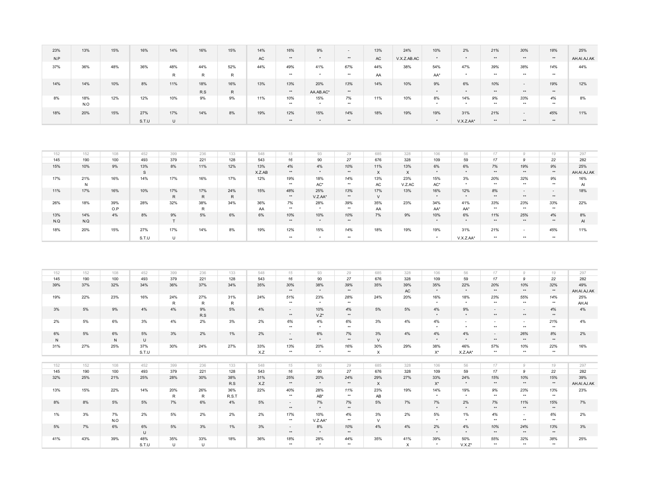| 23%               | 13%                 | 15%                 | 16%               | 14%                 | 16%                 | 15%                 | 14%               | 16%                              | 9%                         | $\overline{\phantom{a}}$ | 13%                              | 24%                       | 10%                        | 2%                | 21%                          | 30%                          | 18%                    | 25%                        |
|-------------------|---------------------|---------------------|-------------------|---------------------|---------------------|---------------------|-------------------|----------------------------------|----------------------------|--------------------------|----------------------------------|---------------------------|----------------------------|-------------------|------------------------------|------------------------------|------------------------|----------------------------|
| N.P               |                     |                     |                   |                     |                     |                     | $\mathsf{AC}$     | $\star\star$                     | $^\star$                   | $\star\star$             | AC                               | V.X.Z.AB.AC               | $^\star$                   | $^\star$          | $\star\star$                 | $\star\star$                 | $^{\star\star}$        | AH.AI.AJ.AK                |
| 37%               | 36%                 | 48%                 | 36%               | 48%                 | 44%                 | 52%                 | 44%               | 49%                              | 41%                        | 67%                      | 44%                              | 38%                       | 54%                        | 47%               | 39%                          | 38%                          | 14%                    | 44%                        |
|                   |                     |                     |                   | $\mathsf{R}$        | R                   | ${\sf R}$           |                   | $\star\star$                     | $^\star$                   | $\star\star$             | AA                               |                           | $\mathsf{AA}^{\star}$      | $^\star$          | $\star\star$                 | $\star\star$                 | $\star\star$           |                            |
| 14%               | 14%                 | 10%                 | 8%                | 11%                 | 18%                 | 16%                 | 13%               | 13%                              | 20%                        | 13%                      | 14%                              | 10%                       | 9%                         | 6%                | 10%                          | $\sim$                       | 19%                    | 12%                        |
|                   |                     |                     |                   |                     | R.S                 | ${\sf R}$           |                   | $\star\star$                     | AA.AB.AC*                  | $^{\star\star}$          |                                  |                           | $\star$                    | $\star$           | $\star\star$                 | $\star\star$                 | $^{\star\star}$        |                            |
| 8%                | 18%<br>N.O          | 12%                 | 12%               | 10%                 | 9%                  | 9%                  | 11%               | 10%<br>$\star\star$              | 15%<br>$\star$             | 7%<br>$\star\star$       | 11%                              | 10%                       | 8%                         | 14%<br>$\star$    | 9%<br>$\star\star$           | 33%<br>$\star\star$          | 4%<br>$\star\star$     | 8%                         |
| 18%               | 20%                 | 15%                 | 27%               | 17%                 | 14%                 | 8%                  | 19%               | 12%                              | 15%                        | 14%                      | 18%                              | 19%                       | 19%                        | 31%               | 21%                          | $\sim$                       | 45%                    | 11%                        |
|                   |                     |                     | S.T.U             | $\cup$              |                     |                     |                   | $\star\star$                     | $^\star$                   | $\star\star$             |                                  |                           | $^\star$                   | V.X.Z.AA*         | $\star\star$                 | $\star\star$                 | $\star\star$           |                            |
| 152<br>145<br>15% | 152<br>190<br>10%   | 108<br>100<br>$9\%$ | 452<br>493<br>13% | 399<br>379<br>8%    | 236<br>221<br>11%   | 133<br>128<br>12%   | 548<br>543<br>13% | 15<br>16                         | 93<br>90                   | 29<br>27                 | 685<br>676<br>11%                | 328<br>328<br>13%         | 106<br>109<br>6%           | 56<br>59<br>6%    | 17<br>17                     | $\mathcal{G}$<br>9           | 19<br>22<br>$9%$       | 297<br>282<br>25%          |
|                   |                     |                     | S                 |                     |                     |                     | X.Z.AB            | 4%<br>$\star\star$               | $4\%$<br>$^\star$          | 10%<br>$\star\star$      | $\boldsymbol{\mathsf{x}}$        | $\boldsymbol{\mathsf{x}}$ | $\star$                    | $^\star$          | 7%<br>$\star\star$           | 19%<br>$\star\star$          | $^{\star\star}$        | AH.AI.AJ.AK                |
| 17%               | 21%<br>${\sf N}$    | 16%                 | 14%               | 17%                 | 16%                 | 17%                 | 12%               | 19%<br>$\star\star$              | 18%<br>$\mathsf{AC}^\star$ | 14%<br>$+ +$             | 13%<br>AC                        | 23%<br>V.Z.AC             | 15%<br>$\mathsf{AC}^\star$ | 3%<br>$\star$     | 20%<br>$\star\star$          | 32%<br>$**$                  | 9%<br>$\star\star$     | 16%<br>Al                  |
| 11%               | 17%                 | 16%                 | 10%               | 17%                 | 17%                 | 24%                 | 15%               | 48%                              | 25%                        | 13%                      | 17%                              | 13%                       | 16%                        | 12%               | 8%                           | $\sim$                       | $\sim$                 | 18%                        |
|                   |                     |                     |                   | R                   | R                   | ${\sf R}$           |                   | $\star\star$                     | V.Z.AA*                    | $\star\star$             | $\vee$                           |                           | $\star$                    | $\star$           | $\star\star$                 | $**$                         | $\star\star$           |                            |
| 26%               | 18%                 | 39%<br>O.P          | 28%               | 32%                 | 38%<br>$\mathsf{R}$ | 34%                 | 36%<br>AA         | 7%<br>$\star\star$               | 28%<br>$\star$             | 39%<br>**                | 35%<br>AA                        | 23%                       | 34%<br>AA*                 | 41%<br>AA*        | 33%<br>$\star\star$          | 23%<br>$***$                 | 33%<br>$\star\star$    | 22%                        |
| 13%<br>$N.Q$      | 14%<br>$N_{\cdot}Q$ | 4%                  | 8%                | 9%<br>$\top$        | 5%                  | 6%                  | $6\%$             | 10%<br>$\star\star$              | 10%<br>$\star$             | 10%<br>$^{\star\star}$   | $7\%$                            | 9%                        | 10%<br>$\star$             | 6%<br>$^\star$    | 11%<br>$\star\star$          | 25%<br>$\star\star$          | 4%<br>$^{\star\star}$  | 8%<br>$\mathsf{Al}\xspace$ |
| 18%               | 20%                 | 15%                 | 27%               | 17%                 | 14%                 | 8%                  | 19%               | 12%                              | 15%                        | 14%                      | 18%                              | 19%                       | 19%                        | 31%               | 21%                          | $\bar{\phantom{a}}$          | 45%                    | 11%                        |
|                   |                     |                     | S.T.U             | $\cup$              |                     |                     |                   | $\star\star$                     | $^\star$                   | $\star\star$             |                                  |                           | $\star$                    | V.X.Z.AA*         | $\star\star$                 | $\star\star$                 | $\star\star$           |                            |
|                   |                     |                     |                   |                     |                     |                     |                   |                                  |                            |                          |                                  |                           |                            |                   |                              |                              |                        |                            |
| 152<br>145        | 152<br>190          | 108<br>100          | 452<br>493        | 399<br>379          | 236<br>221          | 133<br>128          | 548<br>543        | 15<br>16                         | 93<br>90                   | 29<br>27                 | 685<br>676                       | 328<br>328                | 106<br>109                 | 56<br>59          | 17<br>17                     | 9<br>9                       | 19<br>22               | 297<br>282                 |
| 39%               | 37%                 | 32%                 | 34%               | 36%                 | 37%                 | 34%                 | 35%               | 30%                              | 38%                        | 39%                      | 35%                              | 39%                       | 35%                        | 22%               | 20%                          | 10%                          | 32%                    | 49%                        |
|                   |                     |                     |                   |                     |                     |                     |                   | $\star\star$                     | $\star$                    | $\star\star$             |                                  | AC                        | $\star$                    | $^\star$          | $\star\star$                 | $\star\star$                 | $^{\star\star}$        | AH.AI.AJ.AK                |
| 19%               | 22%                 | 23%                 | 16%               | 24%<br>$\mathsf{R}$ | 27%<br>$\sf R$      | 31%<br>$\mathsf{R}$ | 24%               | 51%<br>$\star\star$              | 23%<br>$^\star$            | 28%<br>$\star\star$      | 24%                              | 20%                       | 16%                        | 18%<br>$\star$    | 23%<br>$\star\star$          | 55%<br>$\star\star$          | 14%<br>$\star\star$    | 25%<br>AH.AI               |
| 3%                | 5%                  | 9%                  | 4%                | 4%                  | 9%<br>R.S           | 5%                  | 4%                | $\mathcal{L}$<br>$^{\star\star}$ | 10%<br>$V.Z^{\star}$       | 4%<br>$^{\star\star}$    | 5%                               | 5%                        | 4%                         | 9%                | $\mathbf{r}$<br>$\star\star$ | $\mathbb{L}$<br>$\star\star$ | 4%<br>$\star\star$     | 4%                         |
| 2%                | 5%                  | 6%                  | 3%                | 4%                  | 2%                  | 3%                  | 2%                | 6%<br>$\star\star$               | 4%<br>$^\star$             | 6%<br>$\star\star$       | 3%                               | 4%                        | 4%                         | $\sim$<br>$\star$ | $\sim$<br>$\star\star$       | $\sim$<br>$\star\star$       | 21%<br>$\star\star$    | 4%                         |
| 6%<br>${\sf N}$   | 5%                  | 6%<br>N             | 5%<br>$\cup$      | 3%                  | 2%                  | 1%                  | 2%                | $\mathcal{L}$<br>$^{\star\star}$ | 6%<br>$\star$              | 7%<br>$^{\star\star}$    | 3%<br>$\vee$                     | 4%                        | $4\%$<br>$\star$           | 4%<br>$\star$     | ÷.<br>$\star\star$           | 26%<br>$\star\star$          | 8%<br>$^{\star\star}$  | 2%                         |
| 31%               | 27%                 | 25%                 | 37%<br>S.T.U      | 30%                 | 24%                 | 27%                 | 33%<br>X.Z        | 13%<br>$\star\star$              | 20%<br>$\star$             | 16%<br>$+ +$             | 30%<br>$\boldsymbol{\mathsf{x}}$ | 29%                       | 38%<br>$X^*$               | 46%<br>X.Z.AA*    | 57%<br>$\star\star$          | 10%<br>$\star\star$          | 22%<br>$\star\star$    | 16%                        |
|                   |                     |                     |                   |                     |                     |                     |                   |                                  |                            |                          |                                  |                           |                            |                   |                              |                              |                        |                            |
| 152<br>145        | 152<br>190          | 108<br>100          | 452<br>493        | 399<br>379          | 236<br>221          | 133<br>128          | 548<br>543        | 15<br>16                         | 93<br>90                   | 29<br>27                 | 685<br>676                       | 328<br>328                | 106<br>109                 | 56<br>59          | 17<br>17                     | $\mathcal{G}$<br>9           | 19<br>22               | 297<br>282                 |
| 32%               | 25%                 | 21%                 | 25%               | 28%                 | 30%                 | 38%                 | 31%               | 25%                              | 20%                        | 24%                      | 29%                              | 27%                       | 33%                        | 24%               | 15%                          | 10%                          | 15%                    | 39%                        |
|                   |                     |                     |                   |                     |                     | R.S                 | X.Z               | $\star\star$                     |                            | $^{\star\star}$          | $\boldsymbol{\mathsf{x}}$        |                           | $\mathsf{X}^\star$         |                   | $\star\star$                 | $\star\star$                 | $^{\star\star}$        | AH.AI.AJ.AK                |
| 13%               | 15%                 | 22%                 | 14%               | 20%<br>R            | 26%<br>${\sf R}$    | 36%<br>R.S.T        | 22%               | 40%<br>$\star\star$              | 28%<br>AB*                 | 11%<br>$\star\star$      | 23%<br>AB                        | 19%                       | 14%                        | 19%               | 9%<br>$\star\star$           | 23%<br>$\star\star$          | 13%<br>$\star\star$    | 23%                        |
| 8%                | 8%                  | 5%                  | 5%                | 7%                  | 6%                  | 4%                  | 5%                | $\omega$<br>$\star\star$         | $7\%$<br>$^\star$          | 7%<br>$^{\star\star}$    | 5%                               | 7%                        | 7%<br>$\star$              | 2%<br>$^\star$    | $7\%$<br>$^{\star\star}$     | 11%<br>$^{\star\star}$       | 15%<br>$^{\star\star}$ | 7%                         |
| 1%                | 3%                  | 7%<br>N.O           | 2%                | 5%                  | 2%                  | 2%                  | 2%                | 17%<br>$\star\star$              | 10%<br>V.Z.AA*             | 4%<br>$\star\star$       | 3%<br>$\vee$                     | 2%                        | 5%                         | 1%                | $4\%$<br>$\star\star$        | $\sim$<br>$\star\star$       | 6%<br>$\star\star$     | 2%                         |
| 5%                | 7%                  | $6\%$               | 6%<br>$\cup$      | 5%                  | 3%                  | 1%                  | 3%                | $\sim$<br>$\star\star$           | $8\%$<br>$\star$           | 10%<br>$\star\star$      | 4%                               | 4%                        | 2%<br>$\star$              | 4%<br>$\star$     | 10%<br>$\star\star$          | 24%<br>$**$                  | 13%<br>$\star\star$    | 3%                         |
| 41%               | 43%                 | 39%                 | 48%               | 35%                 | 33%                 |                     |                   |                                  |                            |                          |                                  | 41%                       | 39%                        | 50%               |                              |                              |                        |                            |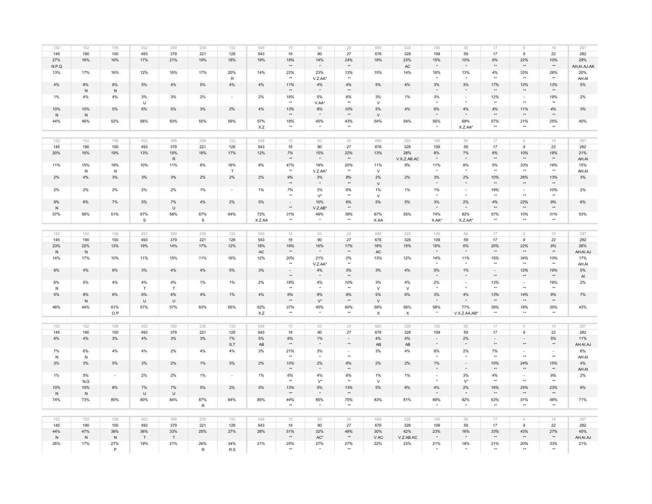| 152              | 152              | 108              | 452                 | 399              | 236                  | 133                      | 548           | 15                                  | 93                          | 29                                | 685                              | 328                   | 106               | 56                  | 17                                  | 9                                        | 19                       | 297                |
|------------------|------------------|------------------|---------------------|------------------|----------------------|--------------------------|---------------|-------------------------------------|-----------------------------|-----------------------------------|----------------------------------|-----------------------|-------------------|---------------------|-------------------------------------|------------------------------------------|--------------------------|--------------------|
| 145              | 190              | 100              | 493                 | 379              | 221                  | 128                      | 543           | 16                                  | 90                          | 27                                | 676                              | 328                   | 109               | 59                  | 17                                  | 9                                        | 22                       | 282                |
| 27%<br>N.P.Q     | 16%              | 16%              | 17%                 | 21%              | 19%                  | 18%                      | 19%           | 18%<br>$\star\star$                 | 14%<br>$\star$              | 24%<br>$\star\star$               | 18%                              | 23%<br>AC             | 15%<br>$\star$    | 10%<br>$\star$      | 6%<br>$\star\star$                  | 22%<br>$\star\star$                      | 10%<br>$^{\star\star}$   | 29%<br>AH.AI.AJ.AK |
| 13%              | 17%              | 16%              | 12%                 | 16%              | 17%                  | 20%<br>${\sf R}$         | 14%           | 22%<br>$\star\star$                 | 23%<br>V.Z.AA*              | 13%<br>$+ +$                      | 15%                              | 14%                   | 16%               | 13%                 | 4%<br>$\star\star$                  | 33%<br>$**$                              | 28%<br>$+ +$             | 20%<br>AH.AI       |
| $4\%$            | 8%<br>${\sf N}$  | 8%<br>${\sf N}$  | 5%                  | $4\%$            | 5%                   | $4\%$                    | 4%            | 11%<br>$\star\star$                 | $4\%$<br>$\star$            | $4\%$<br>$\star\star$             | 5%                               | 4%                    | 3%<br>$\star$     | 3%<br>$\star$       | 17%<br>$\star\star$                 | 12%<br>$\star\star$                      | 13%<br>$\star\star$      | 5%                 |
| $1\%$            | $4\%$            | $4\%$            | 3%<br>U             | 3%               | 2%                   | $\overline{\phantom{a}}$ | 2%            | 18%<br>$\star\star$                 | 5%<br>V.AA*                 | $6\%$<br>$\star\star$             | 3%<br>$\vee$                     | 1%                    | 3%                | $\sim$              | 12%<br>$\star\star$                 | $\sim$<br>$\star\star$                   | 19%<br>$\star\star$      | $2\%$              |
| 10%<br>${\sf N}$ | 10%<br>N         | $5\%$            | 6%                  | 5%               | 3%                   | 2%                       | 4%            | 13%<br>$\star\star$                 | $8\%$                       | 10%<br>$^{\star\star}$            | 5%<br>V                          | 4%                    | 6%                | $4\%$               | 4%<br>$\star\star$                  | 11%<br>$\star\star$                      | 4%<br>$\star\star$       | 3%                 |
| 44%              | 46%              | 52%              | 56%                 | 50%              | 55%                  | 56%                      | 57%<br>X.Z    | 18%<br>$\star\star$                 | 45%                         | 43%<br>$\star\star$               | 54%                              | 54%                   | 56%               | 69%<br>X.Z.AA*      | 57%<br>$\star\star$                 | 21%<br>$\star\star$                      | 25%<br>$\star\star$      | 40%                |
|                  |                  |                  |                     |                  |                      |                          |               |                                     |                             |                                   |                                  |                       |                   |                     |                                     |                                          |                          |                    |
| 152              | 152              | 108              | 452                 | 399              | 236                  | 133                      | 548           | 15                                  | 93                          | 29                                | 685                              | 328                   | 106               | 56                  | 17                                  | $\mathcal{G}$                            | 19                       | 297                |
| 145              | 190              | 100              | 493                 | 379              | 221                  | 128                      | 543           | 16                                  | 90                          | 27                                | 676                              | 328                   | 109               | 59                  | 17                                  | 9                                        | 22                       | 282                |
| 20%              | 16%              | 19%              | 13%                 | 19%<br>${\sf R}$ | 18%                  | 17%                      | 12%           | $7\%$<br>$\star\star$               | 15%<br>$\star$              | 22%<br>$\star\star$               | 13%                              | 28%<br>V.X.Z.AB.AC    | 8%<br>$\star$     | 7%<br>$\star$       | 6%<br>$\star\star$                  | 10%<br>$\star\star$                      | 18%<br>$\star\star$      | 21%<br>AH.AI       |
| 11%              | 15%<br>N         | 18%<br>N         | 10%                 | 11%              | 8%                   | 16%<br>T                 | 8%            | 47%<br>$\star\star$                 | 19%<br>V.Z.AA*              | 20%<br>$\star\star$               | 11%<br>$\vee$                    | 9%                    | 11%               | 8%                  | 5%<br>$\star\star$                  | 33%<br>$\star\star$                      | 19%<br>$\star\star$      | 15%<br>AH.AI       |
| 2%               | 4%               | 3%               | 3%                  | 3%               | 2%                   | 2%                       | 2%            | $9%$<br>$\star\star$                | $3\%$<br>$^\star$           | 8%<br>$^{\star\star}$             | 2%<br>$\vee$                     | 2%                    | 3%<br>$^\star$    | 2%<br>$^\star$      | 10%<br>$\star\star$                 | 26%<br>$^{\star\star}$                   | 13%<br>$^{\star\star}$   | $3\%$              |
| 2%               | 2%               | 2%               | 2%                  | 2%               | 1%                   | $\sim$                   | 1%            | 7%<br>$^{\star\star}$               | 3%<br>$V^{\star}$           | 6%<br>$\star\star$                | 1%<br>$\vee$                     | 1%                    | 1%                | $\sim$              | 19%<br>$^{\star\star}$              | $\sim$<br>$\star\star$                   | 10%                      | 2%                 |
| 9%<br>$\,$ N     | 6%               | 7%               | 5%                  | 7%<br>$\cup$     | 4%                   | 2%                       | 5%            | $\omega$<br>$\star\star$            | 10%<br>$V.Z.AB*$            | 6%<br>$^{\star\star}$             | 5%                               | 5%                    | 3%                | 2%                  | 4%<br>$\star\star$                  | 22%<br>$^{\star\star}$                   | 9%<br>$\star\star$       | 6%                 |
| 57%              | 56%              | 51%              | 67%<br>$\mathsf{s}$ | 58%              | 67%<br>$\mathsf{s}$  | 64%                      | 72%<br>X.Z.AA | 31%<br>$\star\star$                 | 49%<br>$\bullet$            | 38%<br>$\star\star$               | 67%<br>X.AA                      | 55%                   | 74%<br>X.AA*      | 82%<br>X.Z.AA*      | 57%<br>$\star\star$                 | 10%<br>$\star\star$                      | 31%<br>$\star\star$      | 53%                |
|                  |                  |                  |                     |                  |                      |                          |               |                                     |                             |                                   |                                  |                       |                   |                     |                                     |                                          |                          |                    |
| 152              | 152              | 108              | 452                 | 399              | 236                  | 133                      | 548           | 15                                  | 93                          | 29                                | 685                              | 328                   | 106               | 56                  | 17                                  | $\mathcal G$                             | 19                       | 297                |
| 145              | 190              | 100              | 493                 | 379              | 221                  | 128                      | 543           | 16                                  | 90                          | 27                                | 676                              | 328                   | 109               | 59                  | 17                                  | 9                                        | 22                       | 282                |
| 23%              | 22%              | 13%              | 19%                 | 14%              | 17%                  | 12%                      | 18%           | 19%                                 | 16%                         | 17%                               | 18%                              | 15%                   | 18%               | 6%                  | 20%                                 | 22%                                      | 9%                       | 26%                |
| $\,$ N<br>14%    | N<br>17%         | 10%              | 11%                 | 15%              | 11%                  | 16%                      | AC<br>12%     | $\star\star$<br>20%                 | 21%                         | $^{\star\star}$<br>2%             | AC<br>13%                        | 12%                   | 14%               | 11%                 | $\star\star$<br>15%                 | $\star\star$<br>34%                      | $^{\star\star}$<br>10%   | AH.AI.AJ<br>17%    |
|                  |                  |                  |                     |                  | 4%                   |                          |               | $\star\star$<br>$\bar{\phantom{a}}$ | V.Z.AA*                     | $^{\star\star}$                   |                                  |                       | 5%                | $\star$             | $\star\star$<br>$\omega$            | $\star\star$                             | $\star\star$             | AH.AI              |
| 6%               | 4%               | 6%               | 3%                  | 4%               |                      | 5%                       | 3%            | $\star\star$                        | $4\%$<br>$\star$            | 3%<br>$^{\star\star}$             | 3%                               | 4%                    |                   | 1%                  | $\star\star$                        | 12%<br>$^{\star\star}$                   | 19%<br>$^{\star\star}$   | $5\%$<br>AI        |
| 6%<br>${\sf N}$  | 5%               | 4%               | 4%<br>$\top$        | 4%<br>$\top$     | 1%                   | 1%                       | 2%            | 18%<br>$\star\star$                 | 4%                          | 10%<br>$+ +$                      | 3%<br>$\vee$                     | 4%<br>$\vee$          | 2%                | $\sim$              | 13%<br>$\star\star$                 | $\sim$<br>$**$                           | 19%<br>$\star\star$      | 2%                 |
| $5\%$            | 9%<br>N          | 6%               | 6%<br>$\cup$        | 6%<br>$\sf U$    | 4%                   | 1%                       | 4%            | 6%<br>$\star\star$                  | $9\%$<br>$\mathsf{V}^\star$ | $8\%$<br>$^{\star\star}$          | 5%<br>$\vee$                     | 6%                    | 3%<br>$\star$     | 4%                  | 13%<br>$\star\star$                 | 14%<br>$**$                              | 8%<br>$\star\star$       | 7%                 |
| 46%              | 44%              | 61%<br>O.P       | 57%                 | 57%              | 63%                  | 65%                      | 62%<br>X.Z    | 37%<br>$\star\star$                 | 45%<br>$\star$              | 60%<br>$+ +$                      | 59%<br>$\boldsymbol{\mathsf{x}}$ | 58%<br>$\pmb{\times}$ | 58%<br>$\star$    | 77%<br>V.X.Z.AA.AB* | 39%<br>$**$                         | 18%<br>$**$                              | 35%<br>$+ +$             | 43%                |
|                  |                  |                  |                     |                  |                      |                          |               |                                     |                             |                                   |                                  |                       |                   |                     |                                     |                                          |                          |                    |
| 152              | 152              | 108              | 452                 | 399              | 236                  | 133                      | 548           | 15                                  | 93                          | 29                                | 685                              | 328                   | 106               | 56                  | 17                                  | $\mathcal G$                             | 19                       | 297                |
| 145              | 190              | 100              | 493                 | 379              | 221                  | 128                      | 543           | 16                                  | 90                          | 27                                | 676                              | 328                   | 109               | 59                  | 17                                  | 9                                        | 22                       | 282                |
| $6\%$            | $4\%$            | $3\%$            | $4\%$               | 3%               | 3%                   | $7\%$<br>S.T             | 5%<br>AB      | $6\%$<br>$\star\star$               | $1\%$<br>$\star$            | $\blacksquare$<br>$^{\star\star}$ | $4\%$<br>AB                      | $4\%$<br>AB           | $\sim$<br>$\star$ | 2%<br>$\star$       | $\bar{\phantom{a}}$<br>$\star\star$ | $\sim$<br>$^{\star\star}$                | $5\%$<br>$^{\star\star}$ | 11%<br>AH.AI.AJ    |
| $7\%$<br>N       | 6%<br>N          | 4%               | 4%                  | 2%               | 4%                   | 4%                       | 3%            | 21%<br>$\star\star$                 | 3%<br>$\star$               | $\blacksquare$<br>$\star\star$    | 3%                               | 4%                    | 6%<br>$\star$     | 2%<br>$\star$       | 7%<br>$\star\star$                  | $\overline{\phantom{a}}$<br>$\star\star$ | $\sim$<br>$\star\star$   | $6\%$<br>AH.AI     |
| 3%               | $3%$             | 5%               | 3%                  | 2%               | 1%                   | 3%                       | 2%            | 10%<br>$\star\star$                 | $2\%$                       | $6\%$<br>$\star\star$             | 2%                               | 2%                    | $1\%$             | $\mathcal{L}$       | 10%<br>$\star\star$                 | 24%<br>$\star\star$                      | 15%<br>$\star\star$      | $4\%$<br>AH.AI     |
| 1%               | 5%<br>N.Q        | $\sim$           | 2%                  | 2%               | 1%                   | $\sim$                   | 1%            | 6%<br>$\star\star$                  | 4%<br>$V^{\star}$           | 6%<br>$\star\star$                | 1%<br>$\vee$                     | 1%                    | $\sim$            | 3%<br>$V^*$         | 4%<br>$\star\star$                  | $\sim$<br>$\star\star$                   | 9%<br>$\star\star$       | 2%                 |
| 10%              | 10%              | 8%               | 7%                  | 7%               | 5%                   | 2%                       | 5%            | 13%<br>$\star\star$                 | 5%                          | 13%<br>$^{\star\star}$            | 5%                               | 8%                    | 4%                | 2%<br>$\star$       | 16%<br>$\star\star$                 | 25%<br>$\star\star$                      | 23%<br>$\star\star$      | 6%                 |
| ${\sf N}$<br>74% | ${\sf N}$<br>73% | 80%              | $\sf U$<br>80%      | $\sf U$<br>84%   | 87%                  | 84%                      | 85%           | 44%<br>$\star\star$                 | 85%                         | 75%<br>$\star\star$               | 83%                              | 81%                   | 89%               | 92%                 | 63%<br>$\star\star$                 | 51%<br>$\star\star$                      | 48%<br>$\star\star$      | 71%                |
|                  |                  |                  |                     |                  | $\mathsf{R}$         |                          |               |                                     |                             |                                   |                                  |                       |                   |                     |                                     |                                          |                          |                    |
| 152              | 152              | 108              | 452                 | 399              | 236                  | 133                      | 548           | 15                                  | 93                          | 29                                | 685                              | 328                   | 106               | 56                  | 17                                  | 9                                        | 19                       | 297                |
| 145              | 190              | 100              | 493                 | 379              | 221                  | 128                      | 543           | 16                                  | 90                          | 27                                | 676                              | 328                   | 109               | 59                  | $17$                                | 9                                        | 22                       | 282                |
| 44%<br>${\sf N}$ | 47%<br>${\sf N}$ | 38%<br>${\sf N}$ | 36%<br>$\top$       | 33%<br>T         | 25%                  | 27%                      | 28%           | 51%<br>$^{\star\star}$              | 32%<br>$\mathsf{AC}^\star$  | 49%<br>$^{\star\star}$            | 30%<br>$\mathsf{V}.\mathsf{AC}$  | 42%<br>V.Z.AB.AC      | 23%<br>$\star$    | 16%                 | 33%<br>$\star\star$                 | 43%<br>$^{\star\star}$                   | 27%<br>$^{\star\star}$   | 45%<br>AH.AI.AJ    |
| 26%              | 17%              | 27%<br>P         | 19%                 | 21%              | 26%<br>${\mathsf R}$ | 34%<br>R.S               | 21%           | 25%<br>$\star\star$                 | 27%                         | 27%<br>$\star\star$               | 22%                              | 23%                   | 21%               | 18%                 | 21%<br>$\star\star$                 | 20%<br>$\star\star$                      | 33%<br>$\star\star$      | 21%                |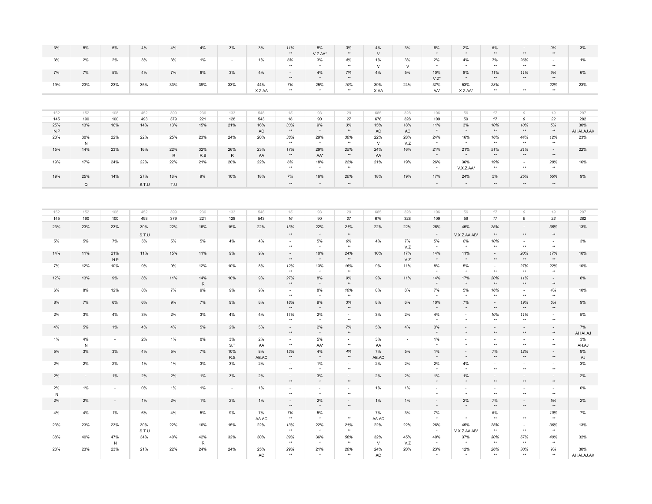| 5%          | $5\%$                    | $4\%$        | $4\%$    | $4\%$         | $3\%$                    | 3%                   | 11%<br>$\star\star$         | 8%<br>V.Z.AA*                       | $3%$<br>$^{\star\star}$        | $4\%$<br>$\vee$      | 3%                   | 6%                | 2%                   | $5\%$<br>$^{\star\star}$   | $\star\star$                             | $9\%$<br>$^{\star\star}$                    | 3%                  |
|-------------|--------------------------|--------------|----------|---------------|--------------------------|----------------------|-----------------------------|-------------------------------------|--------------------------------|----------------------|----------------------|-------------------|----------------------|----------------------------|------------------------------------------|---------------------------------------------|---------------------|
| 2%          | 2%                       | 3%           | 3%       | 1%            | $\sim$                   | 1%                   | 6%                          | $3\%$                               | 4%                             | 1%                   | 3%                   | 2%                | 4%                   | 7%                         | 26%                                      | $\sim$                                      | 1%                  |
| 7%          | 5%                       | 4%           | 7%       | 6%            | 3%                       | 4%                   | $\star\star$<br>$\omega$    | 4%                                  | $\star\star$<br>7%             | ${\sf V}$<br>4%      | V<br>5%              | 10%               | 8%                   | $^{\star\star}$<br>11%     | $\star\star$<br>11%                      | $^{\star\star}$<br>9%                       | 6%                  |
|             |                          |              |          |               |                          |                      | $\star\star$                | $\star$                             | $\star\star$                   |                      |                      | $V.Z^*$           |                      | $\star\star$               | $\star\star$                             | $\star\star$                                |                     |
| 23%         | 23%                      | 35%          | 33%      | 39%           | 33%                      | 44%<br>X.Z.AA        | $7\%$<br>$\star\star$       | 25%<br>$\star$                      | 10%<br>$\star\star$            | 39%<br>X.AA          | 24%                  | 37%<br>AA*        | 53%<br>X.Z.AA*       | 23%<br>$\star\star$        | $\sim$<br>$\star$                        | 22%<br>$\star\star$                         | 23%                 |
|             |                          |              |          |               |                          |                      |                             |                                     |                                |                      |                      |                   |                      |                            |                                          |                                             |                     |
|             |                          |              |          |               |                          |                      |                             |                                     |                                |                      |                      |                   |                      |                            |                                          |                                             |                     |
| 152         | 108                      | 452          | 399      | 236           | 133                      | 548                  | 15                          | 93                                  | 29                             | 685                  | 328                  | 106               | 56                   | 17                         | $\mathcal G$                             | 19                                          | 297                 |
| 190         | 100                      | 493          | 379      | 221           | 128                      | 543                  | 16                          | 90                                  | $27\,$                         | 676                  | 328                  | 109               | 59                   | $17\,$                     | 9                                        | 22                                          | 282                 |
| 13%         | 16%                      | 14%          | 13%      | 15%           | 21%                      | 16%<br>$\mathsf{AC}$ | 33%<br>$^{\star\star}$      | $9\%$<br>$\star$                    | 3%<br>$^{\star\star}$          | 15%<br>$\mathsf{AC}$ | 18%<br>$\mathsf{AC}$ | 11%<br>$\star$    | 3%<br>$\star$        | 10%<br>$^{\star\star}$     | 10%<br>$\star\star$                      | $5\%$<br>$\star\star$                       | 30%<br>AH.AI.AJ.AK  |
| 30%         | 22%                      | 22%          | 25%      | 23%           | 24%                      | 20%                  | 38%                         | 29%                                 | 30%                            | 22%                  | 28%                  | 24%               | 16%                  | 16%<br>$\star$             | 44%                                      | 12%                                         | 23%                 |
| ${\sf N}$   |                          |              |          |               |                          |                      | $\star\star$                |                                     | $\star\star$                   | $\vee$               | V.Z                  |                   |                      |                            | $\star\star$                             | $\star\star$                                |                     |
| 14%         | 23%                      | 16%          | 22%<br>R | 32%<br>R.S    | 26%<br>$\mathsf{R}$      | 23%<br>AA            | 17%<br>$\star\star$         | 29%<br>AA*                          | 25%<br>$^{\star\star}$         | 24%<br>AA            | 16%                  | 21%<br>$\star$    | 21%                  | 51%<br>$\star\star$        | 21%<br>$\star\star$                      | $\omega$<br>$\star\star$                    | 22%                 |
|             |                          |              | 22%      | 21%           |                          | 22%                  |                             |                                     |                                |                      |                      |                   | 36%                  |                            | $\omega$                                 |                                             |                     |
| 17%         | 24%                      | 22%          |          |               | 20%                      |                      | 6%<br>$**$                  | 18%<br>$\star$                      | 22%<br>$\star\star$            | 21%                  | 19%                  | 26%<br>$\star$    | V.X.Z.AA*            | 19%<br>$**$                | $\star\star$                             | 28%<br>$\star\star$                         | 16%                 |
| 25%         | 14%                      | 27%          | 18%      | 9%            | 10%                      | 18%                  | 7%                          | 16%                                 | 20%                            | 18%                  | 19%                  | 17%               | 24%                  | 5%                         | 25%                                      | 55%                                         | 9%                  |
| $\mathsf Q$ |                          | S.T.U        | T.U      |               |                          |                      | $^{\star\star}$             | $^\star$                            | $^{\star\star}$                |                      |                      | $^\star$          | $^\star$             | $\star\star$               | $^{\star\star}$                          | $^{\star\star}$                             |                     |
|             |                          |              |          |               |                          |                      |                             |                                     |                                |                      |                      |                   |                      |                            |                                          |                                             |                     |
| 152         | 108                      | 452          | 399      | 236           | 133                      | 548                  | 15                          | 93                                  | 29                             | 685                  | 328                  | 106               | 56                   | 17                         | $\overline{g}$                           | $19$                                        | 297                 |
| 190         | 100                      | 493          | 379      | 221           | 128                      | 543                  | $16$                        | 90                                  | 27                             | 676                  | 328                  | 109               | 59                   | 17                         | 9                                        | 22                                          | 282                 |
| 23%         | 23%                      | 30%<br>S.T.U | 22%      | 16%           | 15%                      | 22%                  | 13%<br>$^{\star\star}$      | 22%<br>$^\star$                     | 21%<br>$^{\star\star}$         | 22%                  | 22%                  | 26%<br>$^\star$   | 45%<br>V.X.Z.AA.AB*  | 25%<br>$\star\star$        | $\overline{\phantom{a}}$<br>$\star\star$ | 36%<br>$^{\star\star}$                      | 13%                 |
| 5%          | 7%                       | 5%           | 5%       | 5%            | 4%                       | 4%                   | $\sim$<br>$\star\star$      | 5%                                  | 6%<br>$\star\star$             | 4%                   | 7%                   | 5%                | 6%                   | 10%<br>$^{\star\star}$     | $\sim$<br>$^{\star\star}$                | $\sim$<br>$\star\star$                      | 3%                  |
| 11%         | 21%                      | 11%          | 15%      | 11%           | 9%                       | 9%                   | $\omega$                    | 10%                                 | 24%                            | 10%                  | V.Z<br>17%           | 14%               | 11%                  | $\omega$                   | 20%                                      | 17%                                         | 10%                 |
| 12%         | N.P<br>10%               | 9%           | $9\%$    | 12%           | 10%                      | 8%                   | $\star\star$<br>12%         | $\star$<br>13%                      | $^{\star\star}$<br>16%         | 9%                   | V.Z<br>11%           | $\star$<br>8%     | $^\star$<br>5%       | $\star\star$<br>$\sim$     | $\star\star$<br>27%                      | $\star\star$<br>22%                         | 10%                 |
| 13%         | $9\%$                    | $8\%$        | 11%      | 14%           | 10%                      | $9\%$                | $\star\star$<br>27%         | $\star$<br>8%                       | $\star\star$<br>$9\%$          | $9\%$                | 11%                  | $\star$<br>14%    | $\star$<br>17%       | $\star\star$<br>20%        | $\star\star$<br>11%                      | $\star\star$<br>$\Box$                      | 8%                  |
|             |                          |              |          | $\,$ R        |                          |                      | $^{\star\star}$             | $\star$                             | $^{\star\star}$                |                      |                      | $\star$           | $\star$              | $\star\star$               | $\star\star$                             | $^{\star\star}$                             |                     |
| 8%          | 12%                      | 8%           | 7%       | 9%            | 9%                       | 9%                   | $\sim$<br>$\star\star$      | 8%<br>$\star$                       | 10%<br>$***$                   | 8%                   | 8%                   | 7%                | 5%<br>$\star$        | 16%<br>$**$                | $\sim$<br>$^{\star\star}$                | 4%<br>$\star\star$                          | 10%                 |
| 7%          | $6\%$                    | 6%           | 9%       | 7%            | 9%                       | 8%                   | 18%<br>$\star\star$         | 9%<br>$\star$                       | $3%$<br>$^{\star\star}$        | 8%                   | 6%                   | 10%<br>$\star$    | 7%<br>$^\star$       | $\omega$ .<br>$\star\star$ | 19%<br>$\star\star$                      | $6\%$<br>$\star\star$                       | 9%                  |
| 3%          | 4%                       | 3%           | 2%       | 3%            | 4%                       | 4%                   | 11%<br>$\star\star$         | 2%<br>$^\star$                      | $\sim$<br>$\star\star$         | 3%                   | 2%                   | 4%                | $\sim$<br>$\star$    | 10%<br>$\star\star$        | 11%<br>$\star\star$                      | $\sim$<br>$^{\star\star}$                   | 5%                  |
| 5%          | $1\%$                    | $4\%$        | $4\%$    | 5%            | 2%                       | 5%                   | $\omega$<br>$^{\star\star}$ | 2%<br>$\star$                       | $7\%$<br>$^{\star\star}$       | $5\%$                | $4\%$                | 3%                | $\sim$<br>$\star$    | ÷.<br>$^{\star\star}$      | $\mathbf{r}$<br>$\star\star$             | $\overline{\phantom{a}}$<br>$^{\star\star}$ | 7%<br>AH.AI.AJ      |
| 4%          | $\overline{\phantom{a}}$ | 2%           | 1%       | 0%            | 3%                       | 2%                   | $\sim$                      | 5%                                  | $\sim$                         | 3%                   | $\sim$               | 1%                | $\sim$               | $\sim$                     | $\blacksquare$                           | $\overline{\phantom{a}}$                    | 3%                  |
| ${\sf N}$   |                          |              |          |               | S.T                      | AA                   | $^{\star\star}$             | AA*                                 | $^{\star\star}$                | AA                   |                      |                   | $\ddot{\phantom{1}}$ | $\star$                    | $\star\star$                             | $^{\star\star}$                             | AH.AJ               |
| 3%          | 3%                       | $4\%$        | $5\%$    | 7%            | 10%<br>R.S               | 8%<br>AB.AC          | 13%<br>$\star\star$         | 4%<br>$\star$                       | 4%<br>$^{\star\star}$          | 7%<br>ABAC           | 5%                   | $1\%$<br>$^\star$ | $\sim$<br>$^\star$   | $7\%$<br>$\star\star$      | 12%<br>$\star\star$                      | $\bar{\phantom{a}}$<br>$^{\star\star}$      | 9%<br>$\mathsf{AJ}$ |
| 2%          | 2%                       | 1%           | 1%       | 3%            | 3%                       | 2%                   | $\sim$<br>$\star\star$      | 1%<br>$\star$                       | $\blacksquare$<br>$\star\star$ | 2%                   | 2%                   | 2%                | 4%                   | $\sim$<br>$\star\star$     | $\sim$<br>$\star\star$                   | $\blacksquare$<br>$\star\star$              | $3\%$               |
| $\sim$      | $1\%$                    | $2\%$        | 2%       | $1\%$         | 3%                       | 2%                   | $\sim$                      | 3%                                  | $\sim$                         | $2\%$                | 2%                   | $1\%$             | $1\%$                | $\sim$                     | $\omega$                                 | $\blacksquare$                              | 2%                  |
| 1%          | $\sim$                   | 0%           | 1%       | 1%            | $\overline{\phantom{a}}$ | 1%                   | $^{\star\star}$<br>$\sim$   | $\star$<br>$\overline{\phantom{a}}$ | $\star\star$<br>$\sim$         | 1%                   | 1%                   | $\star$<br>$\sim$ | $\star$<br>$\sim$    | $^{\star\star}$<br>$\sim$  | $\star\star$<br>$\blacksquare$           | $^{\star\star}$<br>$\sim$                   | $0\%$               |
| 2%          | $\sim$                   | 1%           | 2%       | 1%            | 2%                       | 1%                   | $\star$<br>$\sim$           | $\star$<br>2%                       | $\star\star$<br>$\sim$         | 1%                   | 1%                   | $\sim$            | 2%                   | $\star$<br>$7\%$           | $\star\star$<br>$\sim$                   | $^{\star\star}$<br>$5\%$                    | $2\%$               |
|             |                          |              |          |               |                          |                      | $\star\star$                | $^\star$                            | $^{\star\star}$                |                      |                      | $\star$           | $\star$              | $^{\star\star}$            | $^{\star\star}$                          | $\star\star$                                |                     |
| 4%          | 1%                       | 6%           | 4%       | 5%            | 9%                       | 7%<br>AA.AC          | 7%<br>$^{\star\star}$       | 5%                                  | $\sim$<br>$\star\star$         | 7%<br>AA.AC          | 3%                   | 7%                | $\sim$               | 5%<br>$^{\star\star}$      | $\sim$<br>$\star\star$                   | 10%<br>$\star\star$                         | 7%                  |
| 23%         | 23%                      | 30%<br>S.T.U | 22%      | 16%           | 15%                      | 22%                  | 13%<br>$\star\star$         | 22%                                 | 21%<br>$\star\star$            | 22%                  | 22%                  | 26%<br>$^\star$   | 45%<br>V.X.Z.AA.AB*  | 25%<br>$^{\star\star}$     | $\blacksquare$<br>$\star\star$           | 36%<br>$^{\star\star}$                      | 13%                 |
| 40%         | 47%<br>N                 | 34%          | 40%      | 42%<br>$\,$ R | 32%                      | 30%                  | 39%<br>$\star\star$         | 36%<br>$\ddot{}$                    | 56%<br>$\star\star$            | 32%<br>$\vee$        | 45%<br>V.Z           | 40%               | 37%                  | 30%<br>$\star\star$        | 57%<br>$\star\star$                      | 40%<br>$\star\star$                         | 32%                 |
| 23%         | 23%                      | 21%          | 22%      | 24%           | 24%                      | 25%<br>AC            | 29%<br>$\star\star$         | 21%                                 | 20%<br>$\star\star$            | 24%<br>AC            | 20%                  | 23%<br>$\star$    | 12%<br>$\star$       | 26%<br>$\star\star$        | 30%<br>$\star\star$                      | 9%<br>$\star\star$                          | 30%<br>AH.AI.AJ.AK  |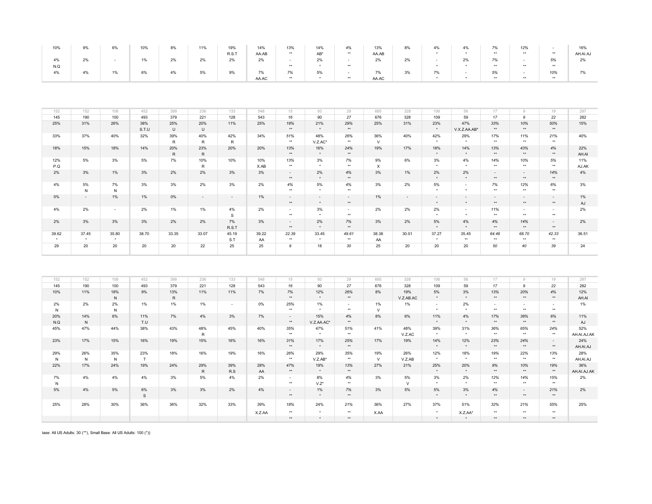| 10% | 9% | 6% | 10% | 8% | 11% | 19%   | 14%   | 13%   | 14%    | 4%    | 13%   | 8% | 4% | 4% | 7%         | 12%   |       | 16%      |
|-----|----|----|-----|----|-----|-------|-------|-------|--------|-------|-------|----|----|----|------------|-------|-------|----------|
|     |    |    |     |    |     | R.S.T | AA.AB | $***$ | $AB^*$ | $***$ | AA.AB |    |    |    | $***$      | $***$ | **    | AH.AI.A. |
|     | 2% |    |     | 2% | 2%  | 2%    | 2%    |       | 2%     |       | 2%    | 2% |    | 2% | 70/<br>770 |       | 5%    | 2%       |
| N.Q |    |    |     |    |     |       |       | **    |        | **    |       |    |    |    | $***$      | $***$ | **    |          |
|     | 4% | 1% | 6%  | 4% | 5%  | 9%    | 7%    | 7%    | 5%     |       | 7%    | 3% | 7% |    | 5%         |       | 10%   |          |
|     |    |    |     |    |     |       | AA.AC | $***$ |        | $***$ | AA.AC |    |    |    | $***$      | $***$ | $***$ |          |

| 152                  | 152     | 108     | 452   | 399          | 236          | 133          | 548   | 15     | 93         | 29     | 685      | 328    | 106                  | 56           | 17         |              | 19     | 297   |
|----------------------|---------|---------|-------|--------------|--------------|--------------|-------|--------|------------|--------|----------|--------|----------------------|--------------|------------|--------------|--------|-------|
| 145                  | 190     | 100     | 493   | 379          | 221          | 128          | 543   | 16     | 90         | 27     | 676      | 328    | 109                  | 59           | 17         | $\mathbf{Q}$ | 22     | 282   |
| 25%                  | 31%     | 26%     | 38%   | 25%          | 20%          | 11%          | 25%   | 18%    | 21%        | 29%    | 25%      | 31%    | 23%                  | 47%          | 33%        | 10%          | 50%    | 15%   |
|                      |         |         | S.T.U | U            | $\cup$       |              |       | **     | $\star$    | **     |          |        | $\star$              | V.X.Z.AA.AB* | **         | $***$        | **     |       |
| 33%                  | 37%     | 40%     | 32%   | 39%          | 40%          | 42%          | 34%   | 51%    | 48%        | 26%    | 36%      | 40%    | 42%                  | 29%          | 17%        | 11%          | 21%    | 40%   |
|                      |         |         |       | $\mathsf{R}$ | $\mathsf{R}$ | $\mathsf{R}$ |       | $***$  | $V.Z.AC^*$ | **     | $\vee$   |        | $\star$              | $\star$      | $***$      | $***$        | $***$  |       |
| 18%                  | 15%     | 18%     | 14%   | 20%          | 23%          | 20%          | 20%   | 13%    | 16%        | 24%    | 19%      | 17%    | 18%                  | 14%          | 13%        | 43%          | 4%     | 22%   |
|                      |         |         |       | R            | R            |              |       | **     | $\star$    | **     |          |        | $\star$              | $\star$      | $***$      | $***$        | $***$  | AH.AI |
| 12%                  | 5%      | 3%      | 5%    | 7%           | 10%          | 10%          | 10%   | 13%    | 3%         | 7%     | 9%       | 6%     | 3%                   | 4%           | 14%        | 10%          | 5%     | 11%   |
| P.Q                  |         |         |       |              | $\mathsf{R}$ |              | X.AB  | $***$  | $\star$    | $***$  | $\times$ |        | $\star$              | $\star$      | $***$      | $***$        | $***$  | AJ.AK |
| 2%                   | 3%      | 1%      | 3%    | 2%           | 2%           | 3%           | 3%    | $\sim$ | 2%         | 4%     | 3%       | 1%     | 2%                   | 2%           | $\sim 100$ | $\sim$       | 14%    | 4%    |
|                      |         |         |       |              |              |              |       | $***$  | $\star$    | **     |          |        | $\star$              | $\star$      | $***$      | $***$        | $***$  |       |
| 4%                   | 5%      | 7%      | 3%    | 3%           | 2%           | 3%           | 2%    | 4%     | 5%         | 4%     | 3%       | 2%     | 5%                   | $\sim$       | 7%         | 12%          | 6%     | 3%    |
|                      | N       | N       |       |              |              |              |       | $***$  | $\star$    | $***$  |          |        | $\star$              | $\star$      | $***$      | $***$        | $***$  |       |
| 0%                   | $\sim$  | $1\%$   | 1%    | 0%           | $\sim$       | $\sim$       | $1\%$ | $\sim$ | $\sim$     | $\sim$ | $1\%$    | $\sim$ | $\sim$               | $\sim$       | $\sim$     | $\sim$       | $\sim$ | 1%    |
|                      |         |         |       |              |              |              |       | $***$  | $\star$    | **     |          |        | $\star$              | $\star$      | $***$      | $**$         | $***$  | AJ    |
| 4%                   | 2%      | $\sim$  | 2%    | 1%           | $1\%$        | 4%           | 2%    | $\sim$ | 3%         | $\sim$ | 2%       | 2%     | 2%                   | $\sim$       | 11%        | $\sim$       | $\sim$ | 2%    |
|                      |         |         |       |              |              | s            |       | $***$  | $\star$    | $***$  |          |        | $\ddot{\phantom{1}}$ | $\star$      | $***$      | $***$        | $***$  |       |
| 2%                   | 3%      | 3%      | 3%    | 2%           | 2%           | 7%           | 3%    | $\sim$ | 2%         | 7%     | 3%       | 2%     | 5%                   | 4%           | 4%         | 14%          | $\sim$ | 2%    |
|                      |         |         |       |              |              | R.S.T        |       | **     | $\star$    | **     |          |        | $\star$              | $\star$      | $***$      | $***$        | $**$   |       |
| 39.62                | 37.45   | 35.80   | 38.70 | 33.35        | 33.07        | 45.19        | 39.22 | 22.39  | 33.45      | 49.61  | 38.38    | 30.01  | 37.27                | 35.45        | 64.46      | 68.70        | 42.33  | 36.51 |
| $\ddot{\phantom{1}}$ | $\star$ | $\star$ |       |              |              | S.T          | AA    | $***$  | $\star$    | $***$  | AA       |        | $\star$              | $***$        | $***$      | $***$        | $***$  |       |
| 29                   | 20      | 20      | 20    | 20           | 22           | 25           | 25    | 9      | 18         | 30     | 25       | 20     | 20                   | 20           | 50         | 40           | 39     | 24    |
|                      |         |         |       |              |              |              |       |        |            |        |          |        |                      |              |            |              |        |       |

| 152 | 152 | 108 | 452          | 399 | 236 | 133    | 548    | 15     | 93         | 29     | 685    | 328       | 106     | 56            | $17^{1}$ | $\circ$ | 19     | 297         |
|-----|-----|-----|--------------|-----|-----|--------|--------|--------|------------|--------|--------|-----------|---------|---------------|----------|---------|--------|-------------|
| 145 | 190 | 100 | 493          | 379 | 221 | 128    | 543    | 16     | 90         | 27     | 676    | 328       | 109     | 59            | 17       | 9       | 22     | 282         |
| 10% | 11% | 18% | 9%           | 13% | 11% | 11%    | 7%     | 7%     | 12%        | 26%    | 8%     | 19%       | 5%      | 3%            | 13%      | 20%     | 4%     | 12%         |
|     |     | N   |              | R   |     |        |        | $***$  | $\star$    | $***$  |        | V.Z.AB.AC | $\star$ | $\star$       | $***$    | $***$   | $***$  | AH.AI       |
| 2%  | 2%  | 2%  | 1%           | 1%  | 1%  | $\sim$ | 0%     | 25%    | 1%         | $\sim$ | $1\%$  | $1\%$     | $\sim$  | 2%            | $\sim$   | $\sim$  | $\sim$ | 1%          |
| N   |     | N   |              |     |     |        |        | $***$  | $\star$    | $***$  | $\vee$ |           | $\star$ | $\rightarrow$ | $***$    | $***$   | $***$  |             |
| 20% | 14% | 6%  | 11%          | 7%  | 4%  | 3%     | 7%     | $\sim$ | 15%        | 4%     | 8%     | 6%        | 11%     | 4%            | 17%      | 38%     | 6%     | 11%         |
| N.Q | N   |     | T.U          |     |     |        |        | $***$  | V.Z.AA.AC* | $***$  |        |           | $\star$ | $\star$       | $***$    | $***$   | $***$  | AJ          |
| 45% | 47% | 44% | 38%          | 43% | 48% | 45%    | 40%    | 35%    | 47%        | 51%    | 41%    | 48%       | 39%     | 31%           | 36%      | 65%     | 24%    | 52%         |
|     |     |     |              |     | R   |        |        | $***$  | $\star$    | $***$  |        | V.Z.AC    | $\star$ | $\star$       | $***$    | $***$   | $***$  | AH.AI.AJ.AK |
| 23% | 17% | 15% | 16%          | 19% | 15% | 16%    | 16%    | 31%    | 17%        | 25%    | 17%    | 19%       | 14%     | 12%           | 23%      | 24%     | $\sim$ | 24%         |
|     |     |     |              |     |     |        |        | $***$  | $\star$    | $***$  |        |           | $\star$ | $\star$       | $***$    | $***$   | $***$  | AH.AI.AJ    |
| 29% | 26% | 35% | 23%          | 18% | 16% | 19%    | 16%    | 26%    | 29%        | 35%    | 19%    | 26%       | 12%     | 18%           | 19%      | 22%     | 13%    | 28%         |
| N   | N   | N   | T            |     |     |        |        | $***$  | $V.Z.AB*$  | $***$  | $\vee$ | V.Z.AB    | $\star$ | $\star$       | $***$    | $***$   | $***$  | AH.AI.AJ    |
| 22% | 17% | 24% | 19%          | 24% | 29% | 39%    | 28%    | 47%    | 19%        | 13%    | 27%    | 21%       | 25%     | 20%           | 9%       | 10%     | 19%    | 36%         |
|     |     |     |              |     | R   | R.S    | AA     | $***$  | $\star$    | **     |        |           | $\star$ | $\star$       | $**$     | $**$    | $***$  | AH.AI.AJ.AK |
| 7%  | 4%  | 4%  | 4%           | 3%  | 5%  | 4%     | 2%     | $\sim$ | 8%         | 4%     | 3%     | 5%        | 3%      | 2%            | 12%      | 14%     | 15%    | 2%          |
| N   |     |     |              |     |     |        |        | $***$  | $V.Z^*$    | $***$  |        | $\vee$    | $\star$ | $\star$       | $***$    | $***$   | $***$  |             |
| 5%  | 4%  | 5%  | 6%           | 3%  | 3%  | 2%     | 4%     | $\sim$ | 1%         | 7%     | 3%     | 5%        | 5%      | 3%            | 4%       | $\sim$  | 21%    | 2%          |
|     |     |     | $\mathbf{s}$ |     |     |        |        | $***$  | $\star$    | $***$  |        |           | $\star$ | $\star$       | $**$     | $***$   | $***$  |             |
| 25% | 28% | 30% | 36%          | 36% | 32% | 33%    | 39%    | 18%    | 24%        | 21%    | 36%    | 27%       | 37%     | 51%           | 32%      | 21%     | 55%    | 25%         |
|     |     |     |              |     |     |        |        |        |            |        |        |           |         |               |          |         |        |             |
|     |     |     |              |     |     |        | X.Z.AA | $***$  | $\star$    | **     | X.AA   |           | $\star$ | X.Z.AA*       | $***$    | $***$   | $***$  |             |
|     |     |     |              |     |     |        |        | $***$  | $\star$    | $***$  |        |           | $\star$ | $\star$       | $***$    | $***$   | $***$  |             |

Base: All US Adults: 30 (\*\*), Small Base: All US Adults: 100 (\*))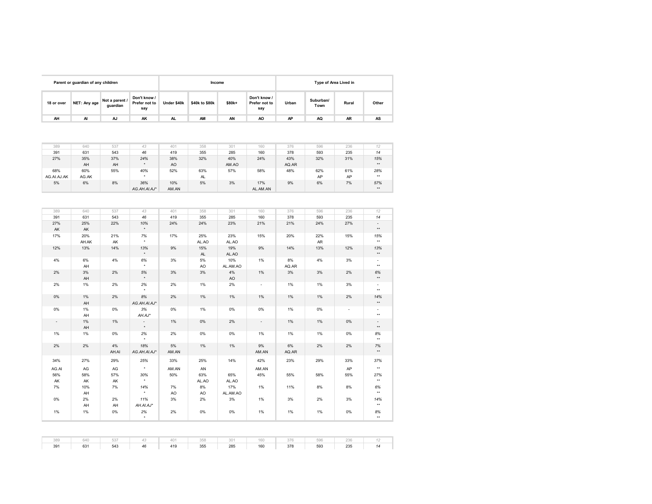|            | Parent or guardian of any children |                            |                                      |             | Income         |        |                                      |       |                   | Type of Area Lived in |       |
|------------|------------------------------------|----------------------------|--------------------------------------|-------------|----------------|--------|--------------------------------------|-------|-------------------|-----------------------|-------|
| 18 or over | NET: Any age                       | Not a parent /<br>guardian | Don't know /<br>Prefer not to<br>say | Under \$40k | \$40k to \$80k | \$80k+ | Don't know /<br>Prefer not to<br>say | Urban | Suburban/<br>Town | Rural                 | Other |
| AH         | AI                                 | AJ                         | AK                                   | AL.         | AM             | AN     | A <sub>O</sub>                       | AP    | AQ                | <b>AR</b>             | AS    |

| 389         | 640   | 537 | 43           | 401   | 358 | 301   | 160      | 376   | 596 | 236 | 12       |
|-------------|-------|-----|--------------|-------|-----|-------|----------|-------|-----|-----|----------|
| 391         | 631   | 543 | 46           | 419   | 355 | 285   | 160      | 378   | 593 | 235 | 14       |
| 27%         | 35%   | 37% | 24%          | 38%   | 32% | 40%   | 24%      | 43%   | 32% | 31% | 15%      |
|             | AH    | AH  | $\bullet$    | AO    |     | AM.AO |          | AQ.AR |     |     | $\pm\pm$ |
| 68%         | 60%   | 55% | 40%          | 52%   | 63% | 57%   | 58%      | 48%   | 62% | 61% | 28%      |
| AG.AI.AJ.AK | AG.AK |     |              |       | AL  |       |          |       | AP  | AP  | $\pm\pm$ |
| 5%          | 6%    | 8%  | 36%          | 10%   | 5%  | 3%    | 17%      | 9%    | 6%  | 7%  | 57%      |
|             |       |     | AG.AH.AI.AJ* | AM.AN |     |       | AL.AM.AN |       |     |     | $\pm\pm$ |

| 389    | 640      | 537   | 43                                   | 401   | 358              | 301          | 160                      | 376   | 596 | 236                      | 12                                       |
|--------|----------|-------|--------------------------------------|-------|------------------|--------------|--------------------------|-------|-----|--------------------------|------------------------------------------|
| 391    | 631      | 543   | 46                                   | 419   | 355              | 285          | 160                      | 378   | 593 | 235                      | 14                                       |
| 27%    | 25%      | 22%   | 10%                                  | 24%   | 24%              | 23%          | 21%                      | 21%   | 24% | 27%                      | $\sim$                                   |
| AK     | AK       |       | $^\star$                             |       |                  |              |                          |       |     |                          | $\star\star$                             |
| 17%    | 20%      | 21%   | 7%                                   | 17%   | 25%              | 23%          | 15%                      | 20%   | 22% | 15%                      | 15%                                      |
|        | AH.AK    | AK    | $^\star$                             |       | AL.AO            | AL.AO        |                          |       | AR  |                          | $\star\star$                             |
| 12%    | 13%      | 14%   | 13%<br>$\star$                       | 9%    | 15%<br><b>AL</b> | 19%<br>AL.AO | 9%                       | 14%   | 13% | 12%                      | 13%<br>$\star\star$                      |
| 4%     | 6%       | 4%    | 6%                                   | 3%    | 5%               | 10%          | 1%                       | 8%    | 4%  | 3%                       | $\sim$                                   |
|        | AH       |       | $^\star$                             |       | AO               | AL.AM.AO     |                          | AQ.AR |     |                          | $\star\star$                             |
| 2%     | 3%       | 2%    | 5%                                   | 3%    | 3%               | 4%           | 1%                       | 3%    | 3%  | 2%                       | 6%                                       |
|        | AH       |       | $^\star$                             |       |                  | AO           |                          |       |     |                          | $\star\star$                             |
| 2%     | 1%       | 2%    | 2%<br>$\star$                        | 2%    | 1%               | 2%           | $\overline{\phantom{a}}$ | 1%    | 1%  | 3%                       | $\sim$<br>$\star\star$                   |
|        |          |       |                                      |       |                  |              |                          |       |     |                          |                                          |
| $0\%$  | 1%<br>AH | 2%    | 8%<br>AG.AH.AI.AJ*                   | 2%    | 1%               | 1%           | 1%                       | 1%    | 1%  | 2%                       | 14%<br>$\star\star$                      |
| 0%     | 1%       | $0\%$ | 3%                                   | 0%    | 1%               | $0\%$        | 0%                       | 1%    | 0%  | $\overline{\phantom{a}}$ | $\overline{\phantom{a}}$<br>$\star\star$ |
|        | AH       | 1%    | AH.AJ*                               | $1\%$ | $0\%$            | 2%           |                          | 1%    | 1%  |                          |                                          |
| $\sim$ | 1%<br>AH |       | $\overline{\phantom{a}}$<br>$^\star$ |       |                  |              | $\sim$                   |       |     | 0%                       | $\overline{\phantom{a}}$<br>$\star\star$ |
| 1%     | 1%       | $0\%$ | 2%<br>$^\star$                       | 2%    | $0\%$            | $0\%$        | 1%                       | 1%    | 1%  | 0%                       | 8%<br>$\star\star$                       |
| 2%     | 2%       | 4%    | 18%                                  | 5%    | 1%               | 1%           | 9%                       | 6%    | 2%  | 2%                       | 7%<br>$\star\star$                       |
|        |          | AH.AI | AG.AH.AI.AJ*                         | AM.AN |                  |              | AM.AN                    | AQ.AR |     |                          |                                          |
| 34%    | 27%      | 29%   | 25%                                  | 33%   | 25%              | 14%          | 42%                      | 23%   | 29% | 33%                      | 37%                                      |
| AG.AI  | AG       | AG    | $\star$                              | AM.AN | AN               |              | AM.AN                    |       |     | AP                       | $\star\star$                             |
| 56%    | 58%      | 57%   | 30%                                  | 50%   | 63%              | 65%          | 45%                      | 55%   | 58% | 55%                      | 27%                                      |
| AK     | AK       | AK    | $^\star$                             |       | AL.AO            | AL.AO        |                          |       |     |                          | $\star\star$                             |
| 7%     | 10%      | 7%    | 14%                                  | 7%    | 8%               | 17%          | 1%                       | 11%   | 8%  | 8%                       | 6%                                       |
|        | AH       |       | $^\star$                             | AO    | AO               | AL.AM.AO     |                          |       |     |                          | $\star\star$                             |
| 0%     | 2%       | 2%    | 11%                                  | 3%    | 2%               | 3%           | 1%                       | 3%    | 2%  | 3%                       | 14%                                      |
|        | AH       | AH    | AH.AI.AJ*                            |       |                  |              |                          |       |     |                          | $\star\star$                             |
| 1%     | 1%       | 0%    | 2%<br>$\star$                        | $2\%$ | $0\%$            | 0%           | 1%                       | 1%    | 1%  | $0\%$                    | 8%<br>$\star\star$                       |
|        |          |       |                                      |       |                  |              |                          |       |     |                          |                                          |
| 389    | 640      | 537   | 43                                   | 401   | 358              | 301          | 160                      | 376   | 596 | 236                      | 12                                       |
| 391    | 631      | 543   | 46                                   | 419   | 355              | 285          | 160                      | 378   | 593 | 235                      | 14                                       |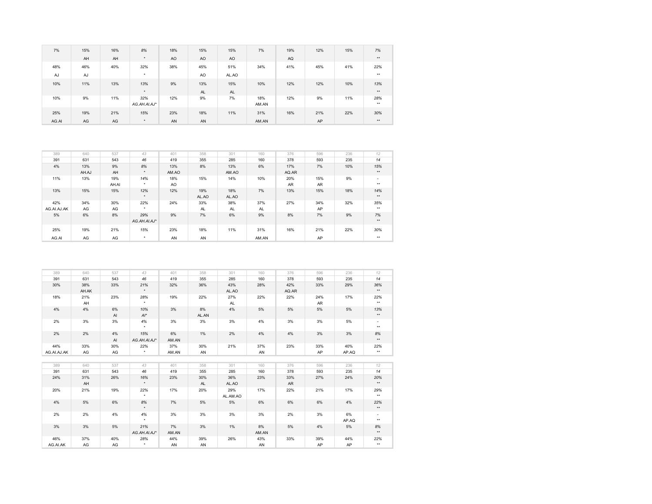| 7%    | 15% | 16% | 8%                  | 18% | 15%       | 15%       | 7%           | 19% | 12% | 15% | 7%           |
|-------|-----|-----|---------------------|-----|-----------|-----------|--------------|-----|-----|-----|--------------|
|       | AH  | AH  | $\star$             | AO  | <b>AO</b> | AO        |              | AQ  |     |     | $**$         |
| 48%   | 46% | 40% | 32%                 | 38% | 45%       | 51%       | 34%          | 41% | 45% | 41% | 22%          |
| AJ    | AJ  |     | $\star$             |     | AO        | AL.AO     |              |     |     |     | $***$        |
| 10%   | 11% | 13% | 13%                 | 9%  | 13%       | 15%       | 10%          | 12% | 12% | 10% | 13%          |
|       |     |     | $\star$             |     | AL        | <b>AL</b> |              |     |     |     | $***$        |
| 10%   | 9%  | 11% | 32%<br>AG.AH.AI.AJ* | 12% | 9%        | 7%        | 18%<br>AM.AN | 12% | 9%  | 11% | 28%<br>$***$ |
| 25%   | 19% | 21% | 15%                 | 23% | 18%       | 11%       | 31%          | 16% | 21% | 22% | 30%          |
| AG.AI | AG  | AG  | $\star$             | AN  | AN        |           | AM.AN        |     | AP  |     | $**$         |

| 389         | 640   | 537   | 43           | 401            | 358       | 301       | 160       | 376       | 596       | 236 | 12           |
|-------------|-------|-------|--------------|----------------|-----------|-----------|-----------|-----------|-----------|-----|--------------|
| 391         | 631   | 543   | 46           | 419            | 355       | 285       | 160       | 378       | 593       | 235 | 14           |
| 4%          | 13%   | 9%    | 8%           | 13%            | 8%        | 13%       | 6%        | 17%       | 7%        | 10% | 15%          |
|             | AH.AJ | AH    | $\star$      | AM.AO          |           | AM.AO     |           | AQ.AR     |           |     | $\star\star$ |
| 11%         | 13%   | 19%   | 14%          | 18%            | 15%       | 14%       | 10%       | 20%       | 15%       | 9%  | $\sim$       |
|             |       | AH.AI | $\star$      | A <sub>O</sub> |           |           |           | <b>AR</b> | <b>AR</b> |     | $***$        |
| 13%         | 15%   | 15%   | 12%          | 12%            | 19%       | 18%       | 7%        | 13%       | 15%       | 18% | 14%          |
|             |       |       | $\star$      |                | AL.AO     | AL.AO     |           |           |           |     | $\star\star$ |
| 42%         | 34%   | 30%   | 22%          | 24%            | 33%       | 38%       | 37%       | 27%       | 34%       | 32% | 35%          |
| AG.AI.AJ.AK | AG    | AG    | $\star$      |                | <b>AL</b> | <b>AL</b> | <b>AL</b> |           | AP        |     | $***$        |
| 5%          | 6%    | 8%    | 29%          | 9%             | 7%        | 6%        | 9%        | 8%        | 7%        | 9%  | 7%           |
|             |       |       | AG.AH.AI.AJ* |                |           |           |           |           |           |     | $\star\star$ |
| 25%         | 19%   | 21%   | 15%          | 23%            | 18%       | 11%       | 31%       | 16%       | 21%       | 22% | 30%          |
| AG.AI       | AG    | AG    | $\star$      | AN             | AN        |           | AM.AN     |           | AP        |     | $***$        |

| 389         | 640   | 537 | 43           | 401   | 358   | 301       | 160   | 376       | 596       | 236   | 12           |
|-------------|-------|-----|--------------|-------|-------|-----------|-------|-----------|-----------|-------|--------------|
| 391         | 631   | 543 | 46           | 419   | 355   | 285       | 160   | 378       | 593       | 235   | 14           |
| 30%         | 38%   | 33% | 21%          | 32%   | 36%   | 43%       | 28%   | 42%       | 33%       | 29%   | 36%          |
|             | AH.AK |     | $\star$      |       |       | AL.AO     |       | AQ.AR     |           |       | $**$         |
| 18%         | 21%   | 23% | 28%          | 19%   | 22%   | 27%       | 22%   | 22%       | 24%       | 17%   | 22%          |
|             | AH    |     | $\star$      |       |       | <b>AL</b> |       |           | <b>AR</b> |       | $\star\star$ |
| 4%          | 4%    | 6%  | 10%          | 3%    | 8%    | 4%        | 5%    | 5%        | 5%        | 5%    | 13%          |
|             |       | AI  | $Al^*$       |       | AL.AN |           |       |           |           |       | $\star\star$ |
| 2%          | 3%    | 3%  | 4%           | 3%    | 3%    | 3%        | 4%    | 3%        | 3%        | 5%    | ٠            |
|             |       |     | $\star$      |       |       |           |       |           |           |       | $\star\star$ |
| 2%          | 2%    | 4%  | 15%          | 6%    | 1%    | 2%        | 4%    | 4%        | 3%        | 3%    | 8%           |
|             |       | AI  | AG.AH.AI.AJ* | AM.AN |       |           |       |           |           |       | $**$         |
| 44%         | 33%   | 30% | 22%          | 37%   | 30%   | 21%       | 37%   | 23%       | 33%       | 40%   | 22%          |
| AG.AI.AJ.AK | AG    | AG  | $^\star$     | AM.AN | AN    |           | AN    |           | AP        | AP.AQ | $\star\star$ |
|             |       |     |              |       |       |           |       |           |           |       |              |
| 389         | 640   | 537 | 43           | 401   | 358   | 301       | 160   | 376       | 596       | 236   | 12           |
| 391         | 631   | 543 | 46           | 419   | 355   | 285       | 160   | 378       | 593       | 235   | 14           |
| 24%         | 31%   | 26% | 16%          | 23%   | 30%   | 36%       | 23%   | 33%       | 27%       | 24%   | 20%          |
|             | AH    |     | $\star$      |       | AL    | AL.AO     |       | <b>AR</b> |           |       | $\star\star$ |
| 20%         | 21%   | 19% | 22%          | 17%   | 20%   | 29%       | 17%   | 22%       | 21%       | 17%   | 29%          |
|             |       |     | $\star$      |       |       | AL.AM.AO  |       |           |           |       | $\star\star$ |
| 4%          | 5%    | 6%  | 8%           | 7%    | 5%    | 5%        | 6%    | 6%        | 6%        | 4%    | 22%          |
|             |       |     | $\star$      |       |       |           |       |           |           |       | $**$         |
| 2%          | 2%    | 4%  | 4%           | 3%    | 3%    | 3%        | 3%    | 2%        | 3%        | 6%    | $\sim$       |
|             |       |     | $\star$      |       |       |           |       |           |           | AP.AQ | $**$         |
| 3%          | 3%    | 5%  | 21%          | 7%    | 3%    | 1%        | 8%    | 5%        | 4%        | 5%    | 8%           |
|             |       |     | AG.AH.AI.AJ* | AM.AN |       |           | AM.AN |           |           |       | $\star\star$ |
| 46%         | 37%   | 40% | 28%          | 44%   | 39%   | 26%       | 43%   | 33%       | 39%       | 44%   | 22%          |
| AG.AI.AK    | AG    | AG  | $\star$      | AN    | AN    |           | AN    |           | AP        | AP    | $\star\star$ |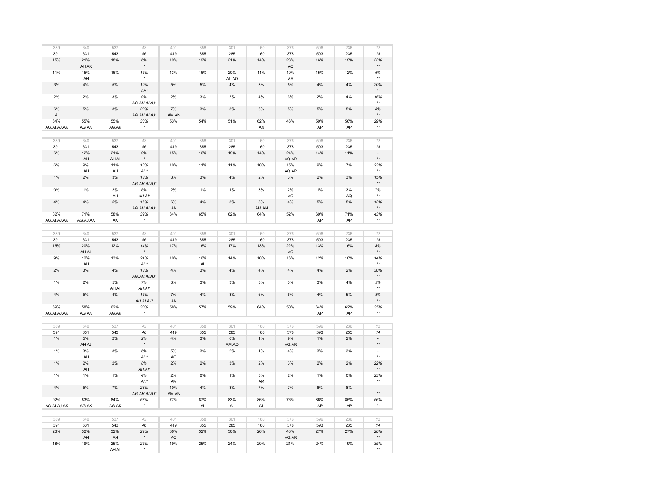| 389         | 640      | 537   | 43                   | 401   | 358       | 301   | 160   | 376   | 596   | 236 | 12                       |
|-------------|----------|-------|----------------------|-------|-----------|-------|-------|-------|-------|-----|--------------------------|
| 391         | 631      | 543   | 46                   | 419   | 355       | 285   | 160   | 378   | 593   | 235 | 14                       |
| 15%         | 21%      | 18%   | 6%                   | 19%   | 19%       | 21%   | 14%   | 23%   | 16%   | 19% | 22%                      |
|             | AH.AK    |       |                      |       |           |       |       | AQ    |       |     | ××                       |
|             |          |       |                      |       |           |       |       |       |       |     |                          |
| 11%         | 15%      | 16%   | 15%                  | 13%   | 16%       | 20%   | 11%   | 19%   | 15%   | 12% | 6%                       |
|             | AH       |       |                      |       |           | AL.AO |       | AR    |       |     | $\star\star$             |
| 3%          | 4%       | 5%    | 10%                  | 5%    | 5%        | $4\%$ | 3%    | 5%    | 4%    | 4%  | 20%                      |
|             |          |       | AH*                  |       |           |       |       |       |       |     | $\star\star$             |
|             |          |       |                      |       |           |       |       |       |       |     |                          |
| 2%          | 2%       | 3%    | 9%                   | 2%    | 3%        | 2%    | 4%    | 3%    | 2%    | 4%  | 15%                      |
|             |          |       | AG.AH.AI.AJ*         |       |           |       |       |       |       |     | $\star\star$             |
| 6%          | 5%       | 3%    | 22%                  | 7%    | 3%        | 3%    | 6%    | 5%    | $5\%$ | 5%  | $8\%$                    |
| AI          |          |       | AG.AH.AI.AJ*         | AM.AN |           |       |       |       |       |     | $\star\star$             |
|             |          |       |                      |       |           |       |       |       |       |     |                          |
| 64%         | 55%      | 55%   | 38%                  | 53%   | 54%       | 51%   | 62%   | 46%   | 59%   | 56% | 29%                      |
| AG.AI.AJ.AK | AG.AK    | AG.AK | $\star$              |       |           |       | AN    |       | AP    | AP  | $\star\star$             |
|             |          |       |                      |       |           |       |       |       |       |     |                          |
| 389         | 640      | 537   | 43                   | 401   | 358       | 301   | 160   | 376   | 596   | 236 | 12                       |
|             |          |       |                      |       |           |       |       |       |       |     |                          |
| 391         | 631      | 543   | 46                   | 419   | 355       | 285   | 160   | 378   | 593   | 235 | 14                       |
| $6\%$       | 12%      | 21%   | 9%                   | 15%   | 16%       | 19%   | 14%   | 24%   | 14%   | 11% | ٠                        |
|             | AH       | AH.AI |                      |       |           |       |       | AQ.AR |       |     | $\star\star$             |
| 6%          | 9%       | 11%   | 18%                  | 10%   | 11%       | 11%   | 10%   | 15%   | 9%    | 7%  | 23%                      |
|             |          |       | AH*                  |       |           |       |       |       |       |     | $\star\star$             |
|             | AH       | AH    |                      |       |           |       |       | AQ.AR |       |     |                          |
| 1%          | 2%       | 3%    | 13%                  | 3%    | 3%        | 4%    | 2%    | 3%    | 2%    | 3%  | 15%                      |
|             |          |       | AG.AH.AI.AJ*         |       |           |       |       |       |       |     | $\star\star$             |
| 0%          | 1%       | 2%    | 5%                   | 2%    | 1%        | 1%    | 3%    | 2%    | 1%    | 3%  | 7%                       |
|             |          |       |                      |       |           |       |       |       |       |     | $\ddot{\phantom{1}}$     |
|             |          | AH    | AH.AI*               |       |           |       |       | AQ    |       | AQ  |                          |
| 4%          | 4%       | 5%    | 16%                  | 6%    | 4%        | 3%    | 8%    | 4%    | 5%    | 5%  | 13%                      |
|             |          |       | AG.AH.AI.AJ*         | AN    |           |       | AM.AN |       |       |     | $\star\star$             |
| 82%         | 71%      | 58%   | 39%                  | 64%   | 65%       | 62%   | 64%   | 52%   | 69%   | 71% | 43%                      |
| AG.AI.AJ.AK | AG.AJ.AK | AK    | $\star$              |       |           |       |       |       | AP    | AP  | $\star\star$             |
|             |          |       |                      |       |           |       |       |       |       |     |                          |
|             |          |       |                      |       |           |       |       |       |       |     |                          |
| 389         | 640      | 537   | 43                   | 401   | 358       | 301   | 160   | 376   | 596   | 236 | 12                       |
| 391         | 631      | 543   | 46                   | 419   | 355       | 285   | 160   | 378   | 593   | 235 | 14                       |
|             |          |       |                      |       |           |       |       |       |       |     |                          |
| 15%         | 20%      | 12%   | 14%                  | 17%   | 16%       | 17%   | 13%   | 22%   | 13%   | 16% | $8\%$                    |
|             | AH.AJ    |       |                      |       |           |       |       | AQ    |       |     | $\star\star$             |
| 9%          | 12%      | 13%   | 21%                  | 10%   | 16%       | 14%   | 10%   | 16%   | 12%   | 10% | 14%                      |
|             | AH       |       | AH*                  |       | AL        |       |       |       |       |     | $\star\star$             |
|             |          |       |                      |       |           |       |       |       |       |     |                          |
| 2%          | 3%       | 4%    | 13%                  | 4%    | 3%        | 4%    | 4%    | 4%    | 4%    | 2%  | 30%                      |
|             |          |       | AG.AH.AI.AJ*         |       |           |       |       |       |       |     | $\star\star$             |
| 1%          | 2%       | 5%    | 7%                   | 3%    | 3%        | 3%    | 3%    | 3%    | 3%    | 4%  | 5%                       |
|             |          | AH.AI | $AH.AI^*$            |       |           |       |       |       |       |     | $\star\star$             |
|             |          |       |                      |       |           |       |       |       |       |     |                          |
| 4%          | 5%       | 4%    | 15%                  | 7%    | 4%        | 3%    | 6%    | 6%    | $4\%$ | 5%  | 8%                       |
|             |          |       | AH.AI.AJ*            | AN    |           |       |       |       |       |     | $\star\star$             |
| 69%         | 58%      | 62%   | 30%                  | 58%   | 57%       | 59%   | 64%   | 50%   | 64%   | 62% | 35%                      |
| AG.AI.AJ.AK | AG.AK    | AG.AK | $\star$              |       |           |       |       |       | AP    | AP  | $\star\star$             |
|             |          |       |                      |       |           |       |       |       |       |     |                          |
|             |          |       |                      |       |           |       |       |       |       |     |                          |
| 389         | 640      | 537   | 43                   | 401   | 358       | 301   | 160   | 376   | 596   | 236 | 12                       |
| 391         | 631      | 543   | 46                   | 419   | 355       | 285   | 160   | 378   | 593   | 235 | 14                       |
| $1\%$       | 5%       | 2%    | 2%                   | 4%    | 3%        | 6%    | 1%    | 9%    | 1%    | 2%  |                          |
|             |          |       |                      |       |           |       |       |       |       |     | **                       |
|             | AH.AJ    |       |                      |       |           | AM.AO |       | AQ.AR |       |     |                          |
| 1%          | 3%       | 3%    | 6%                   | 5%    | 3%        | 2%    | 1%    | 4%    | 3%    | 3%  | $\overline{\phantom{a}}$ |
|             | AH       |       | AH <sup>*</sup>      | AO    |           |       |       |       |       |     | $\star\star$             |
| 1%          | 2%       | 2%    | 8%                   | 2%    | 2%        | 3%    | 2%    | 3%    | 2%    | 2%  | 22%                      |
|             |          |       |                      |       |           |       |       |       |       |     | $\star\star$             |
|             | AH       |       | AH.AI*               |       |           |       |       |       |       |     |                          |
| 1%          | 1%       | 1%    | 4%                   | 2%    | 0%        | 1%    | 3%    | 2%    | 1%    | 0%  | 23%                      |
|             |          |       | AH*                  | AM    |           |       | AM    |       |       |     | $\star\star$             |
| 4%          | 5%       | 7%    | 23%                  | 10%   | 4%        | 3%    | 7%    | 7%    | 6%    | 8%  | $\sim$                   |
|             |          |       | AG.AH.AI.AJ*         | AM.AN |           |       |       |       |       |     | ×                        |
|             |          |       |                      |       |           |       |       |       |       |     |                          |
| 92%         | 83%      | 84%   | 57%                  | 77%   | 87%       | 83%   | 86%   | 76%   | 86%   | 85% | 56%                      |
| AG.AI.AJ.AK | AG.AK    | AG.AK | $\ddot{\phantom{1}}$ |       | <b>AL</b> | AL    | AL    |       | AP    | AP  | $\star\star$             |
|             |          |       |                      |       |           |       |       |       |       |     |                          |
|             |          |       |                      |       |           |       |       |       |       |     |                          |
| 389         | 640      | 537   | 43                   | 401   | 358       | 301   | 160   | 376   | 596   | 236 | 12                       |
| 391         | 631      | 543   | 46                   | 419   | 355       | 285   | 160   | 378   | 593   | 235 | 14                       |
| 23%         | 32%      | 32%   | 29%                  | 36%   | 32%       | 30%   | 26%   | 43%   | 27%   | 27% | 20%                      |
|             | AH       | AH    |                      | AO    |           |       |       | AQ.AR |       |     | $\star\star$             |
|             |          |       |                      |       |           |       |       |       |       |     |                          |
| 18%         | 19%      | 25%   | 25%                  | 19%   | 25%       | 24%   | 20%   | 21%   | 24%   | 19% | 35%                      |
|             |          | AH.AI |                      |       |           |       |       |       |       |     | $\star\star$             |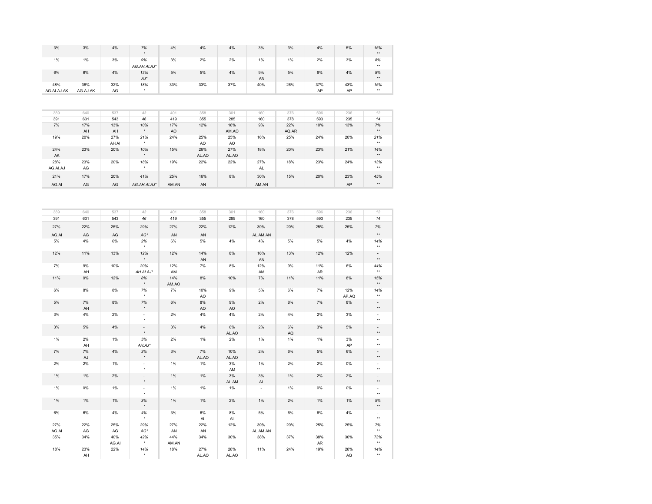| 3%                 | 3%                  | 4%            | 7%                                 | 4%           | 4%           | 4%           | 3%              | 3%           | 4%        | 5%        | 15%<br>$\star\star$                         |
|--------------------|---------------------|---------------|------------------------------------|--------------|--------------|--------------|-----------------|--------------|-----------|-----------|---------------------------------------------|
| 1%                 | 1%                  | 3%            | 9%<br>AG.AH.AI.AJ*                 | 3%           | 2%           | 2%           | 1%              | $1\%$        | 2%        | 3%        | 8%<br>$\star\star$                          |
| 6%                 | 6%                  | 4%            | 13%<br>$AJ^{\star}$                | 5%           | $5\%$        | 4%           | 9%<br>AN        | 5%           | 6%        | 4%        | 8%<br>$\star\star$                          |
| 48%<br>AG.AI.AJ.AK | 38%<br>AG.AJ.AK     | 32%<br>AG     | 18%<br>$\star$                     | 33%          | 33%          | 37%          | 40%             | 26%          | 37%<br>AP | 43%<br>AP | 15%<br>$\star\star$                         |
|                    |                     |               |                                    |              |              |              |                 |              |           |           |                                             |
| 389                | 640                 | 537           | 43                                 | 401          | 358          | 301          | 160             | 376          | 596       | 236       | 12                                          |
|                    |                     |               |                                    |              |              |              |                 |              |           |           |                                             |
| 391                | 631                 | 543           | 46                                 | 419          | 355          | 285          | 160             | 378          | 593       | 235       | $\sqrt{14}$                                 |
| 7%                 | 17%<br>AH           | 13%<br>AH     | 10%                                | 17%<br>AO    | 12%          | 18%<br>AM.AO | 9%              | 22%<br>AQ.AR | 10%       | 13%       | 7%<br>$\star\star$                          |
| 19%                | 20%                 | 27%           | 21%                                | 24%          | 25%          | 25%          | 16%             | 25%          | 24%       | 20%       | 21%                                         |
|                    |                     | AH.AI         | $\star$                            |              | AO           | AO           |                 |              |           |           | $\star\star$                                |
| 24%<br>AK          | 23%                 | 20%           | 10%                                | 15%          | 26%<br>AL.AO | 27%<br>AL.AO | 18%             | 20%          | 23%       | 21%       | 14%<br>$\pm\pm$                             |
| 28%                | 23%                 | 20%           | 18%                                | 19%          | 22%          | 22%          | 27%             | 18%          | 23%       | 24%       | 13%                                         |
| AG.AI.AJ           | AG                  |               |                                    |              |              |              | AL              |              |           |           | $^{\star\star}$                             |
| 21%                | 17%                 | 20%           | 41%                                | 25%          | 16%          | 8%           | 30%             | 15%          | 20%       | 23%       | 45%                                         |
| AG.AI              | AG                  | $\mathsf{AG}$ | AG.AH.AI.AJ*                       | AM.AN        | AN           |              | AM.AN           |              |           | AP        | $^{\star\star}$                             |
|                    |                     |               |                                    |              |              |              |                 |              |           |           |                                             |
| 389                | 640                 | 537           | 43                                 | 401          | 358          | 301          | 160             | 376          | 596       | 236       | 12                                          |
| 391                | 631                 | 543           | 46                                 | 419          | 355          | 285          | 160             | 378          | 593       | 235       | $14$                                        |
| 27%                | 22%                 | 25%           | 29%                                | 27%          | 22%          | 12%          | 39%             | 20%          | 25%       | 25%       | 7%<br>$\star\star$                          |
| AG.AI              | AG                  | AG            | AG*                                | AN           | AN           |              | AL.AM.AN        |              |           |           |                                             |
| 5%                 | 4%                  | 6%            | 2%                                 | 6%           | 5%           | 4%           | 4%              | 5%           | 5%        | 4%        | 14%<br>$\star\star$                         |
| 12%                | 11%                 | 13%           | 12%                                | 12%          | 14%<br>AN    | $8\%$        | 16%<br>AN       | 13%          | 12%       | 12%       | $\overline{\phantom{a}}$<br>$^{\star\star}$ |
| 7%                 | 9%                  | 10%           | 20%<br>AH.AI.AJ*                   | 12%<br>AM    | 7%           | 8%           | 12%             | 9%           | 11%<br>AR | 6%        | 44%<br>$\star\star$                         |
| 11%                | AH<br>9%            | 12%           | 8%                                 | 14%          | $8\%$        | 10%          | AM<br>$7\%$     | 11%          | 11%       | 8%        | 15%                                         |
| 6%                 | 8%                  | 8%            | $\star$<br>7%                      | AM.AO<br>7%  | 10%          | 9%           | 5%              | 6%           | 7%        | 12%       | $\star\star$<br>14%                         |
|                    |                     |               |                                    |              | AO           |              |                 |              |           | AP.AQ     | $\star\star$                                |
| 5%                 | 7%<br>AH            | 8%            | 7%                                 | 6%           | 8%<br>AO     | 9%<br>AO     | 2%              | 8%           | 7%        | $8\%$     | ÷.<br>$\star\star$                          |
| 3%                 | 4%                  | 2%            | $\overline{\phantom{a}}$           | 2%           | 4%           | 4%           | 2%              | 4%           | 2%        | 3%        | $\sim$<br>$^{\star\star}$                   |
| $3\%$              | $5\%$               | $4\%$         | $\overline{\phantom{a}}$           | $3\%$        | $4\%$        | $6\%$        | 2%              | $6\%$        | 3%        | $5\%$     | $\overline{a}$                              |
|                    |                     |               | $\star$                            |              |              | AL.AO        |                 | AQ           |           |           | $^{\star\star}$                             |
| 1%                 | 2%<br>AH            | 1%            | 5%<br>$AH.AJ*$                     | 2%           | 1%           | 2%           | 1%              | 1%           | 1%        | 3%<br>AP  | $\sim$<br>$\star\star$                      |
| 7%                 | 7%                  | $4\%$         | 3%<br>$\star$                      | $3\%$        | 7%           | 10%          | 2%              | 6%           | 5%        | $6\%$     | $\sim$<br>$\star\star$                      |
| 2%                 | $\mathsf{AJ}$<br>2% | $1\%$         | $\sim$                             | 1%           | AL.AO<br>1%  | AL.AO<br>3%  | 1%              | 2%           | 2%        | 0%        | $\sim$                                      |
| $1\%$              | $1\%$               | 2%            | $\overline{\phantom{a}}$<br>$\Box$ | $1\%$        | $1\%$        | AM<br>3%     | 3%              | $1\%$        | 2%        | 2%        | $\star\star$<br>$\overline{\phantom{a}}$    |
|                    |                     |               | $\star$                            |              |              | AL.AM        | $\mathsf{AL}$   |              |           |           | $\star$                                     |
| 1%                 | 0%                  | 1%            | $\overline{\phantom{a}}$           | 1%           | 1%           | 1%           |                 | 1%           | 0%        | 0%        | $\overline{\phantom{a}}$<br>$\star\star$    |
| 1%                 | 1%                  | 1%            | $3%$                               | 1%           | $1\%$        | 2%           | 1%              | 2%           | 1%        | 1%        | $5%$<br>$\star\star$                        |
| 6%                 | 6%                  | 4%            | 4%                                 | 3%           | 6%           | 8%           | 5%              | 6%           | 6%        | 4%        | $\overline{\phantom{a}}$                    |
| 27%                | 22%                 | 25%           | 29%                                | 27%          | AL.<br>22%   | AL<br>12%    | 39%             | 20%          | 25%       | 25%       | $^{\star\star}$<br>7%                       |
|                    |                     |               |                                    |              |              |              |                 |              |           |           | $\star\star$                                |
| AG.AI              | AG                  | AG            | AG*                                | AN           | AN           |              | AL.AM.AN<br>38% |              | 38%       | 30%       | 73%                                         |
| 35%                |                     |               |                                    |              |              |              |                 |              |           |           |                                             |
|                    | 34%                 | 40%<br>AG.AI  | 42%                                | 44%<br>AM.AN | 34%          | 30%          |                 | 37%          | AR        |           | $^{\star\star}$                             |
| 18%                | 23%<br>AH           | 22%           | 14%                                | 18%          | 27%<br>AL.AO | 28%<br>AL.AO | 11%             | 24%          | 19%       | 28%<br>AQ | 14%<br>$\star\star$                         |